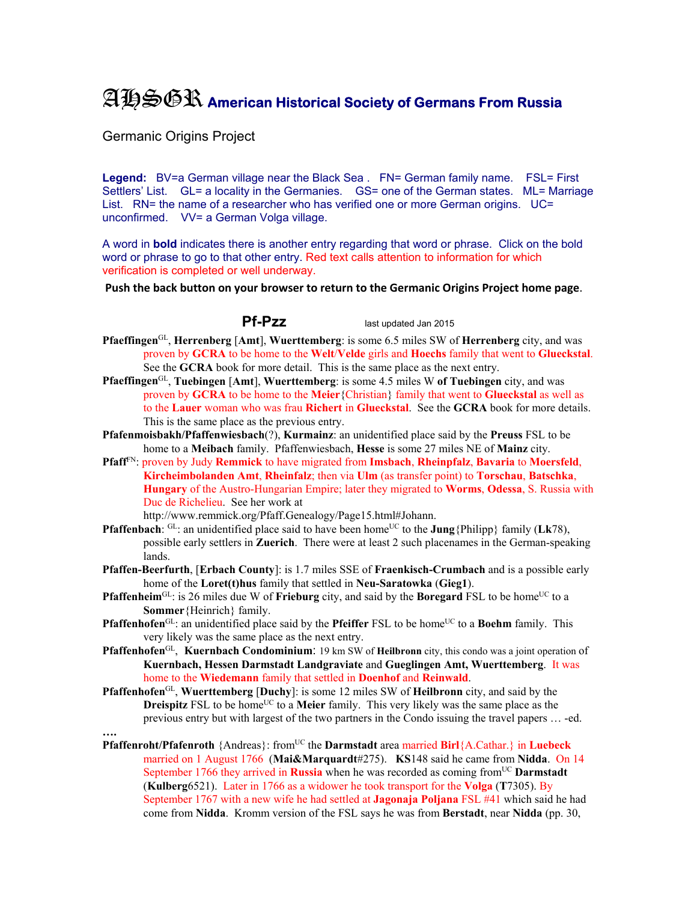## AHSGR **American Historical Society of Germans From Russia**

Germanic Origins Project

Legend: BV=a German village near the Black Sea . FN= German family name. FSL= First Settlers' List. GL= a locality in the Germanies. GS= one of the German states. ML= Marriage List. RN= the name of a researcher who has verified one or more German origins. UC= unconfirmed. VV= a German Volga village.

A word in **bold** indicates there is another entry regarding that word or phrase. Click on the bold word or phrase to go to that other entry. Red text calls attention to information for which verification is completed or well underway.

**Push the back button on your browser to return to the Germanic Origins Project home page**.

**Pf-Pzz** last updated Jan 2015

- **Pfaeffingen**GL, **Herrenberg** [**Amt**], **Wuerttemberg**: is some 6.5 miles SW of **Herrenberg** city, and was proven by **GCRA** to be home to the **Welt**/**Velde** girls and **Hoechs** family that went to **Glueckstal**. See the **GCRA** book for more detail. This is the same place as the next entry.
- **Pfaeffingen**GL, **Tuebingen** [**Amt**], **Wuerttemberg**: is some 4.5 miles W **of Tuebingen** city, and was proven by **GCRA** to be home to the **Meier**{Christian} family that went to **Glueckstal** as well as to the **Lauer** woman who was frau **Richert** in **Glueckstal**. See the **GCRA** book for more details. This is the same place as the previous entry.
- **Pfafenmoisbakh/Pfaffenwiesbach**(?), **Kurmainz**: an unidentified place said by the **Preuss** FSL to be home to a **Meibach** family. Pfaffenwiesbach, **Hesse** is some 27 miles NE of **Mainz** city.
- **Pfaff**FN: proven by Judy **Remmick** to have migrated from **Imsbach**, **Rheinpfalz**, **Bavaria** to **Moersfeld**, **Kircheimbolanden Amt**, **Rheinfalz**; then via **Ulm** (as transfer point) to **Torschau**, **Batschka**, **Hungary** of the Austro-Hungarian Empire; later they migrated to **Worms**, **Odessa**, S. Russia with Duc de Richelieu. See her work at

http://www.remmick.org/Pfaff.Genealogy/Page15.html#Johann.

- **Pfaffenbach**: GL: an unidentified place said to have been home<sup>UC</sup> to the **Jung**{Philipp} family (**Lk**78), possible early settlers in **Zuerich**. There were at least 2 such placenames in the German-speaking lands.
- **Pfaffen-Beerfurth**, [**Erbach County**]: is 1.7 miles SSE of **Fraenkisch-Crumbach** and is a possible early home of the **Loret(t)hus** family that settled in **Neu-Saratowka** (**Gieg1**).
- **Pfaffenheim**<sup>GL</sup>: is 26 miles due W of **Frieburg** city, and said by the **Boregard** FSL to be home<sup>UC</sup> to a **Sommer**{Heinrich} family.
- **Pfaffenhofen**<sup>GL</sup>: an unidentified place said by the **Pfeiffer** FSL to be home<sup>UC</sup> to a **Boehm** family. This very likely was the same place as the next entry.
- **Pfaffenhofen**GL, **Kuernbach Condominium**: 19 km SW of **Heilbronn** city, this condo was a joint operation of **Kuernbach, Hessen Darmstadt Landgraviate** and **Gueglingen Amt, Wuerttemberg**. It was home to the **Wiedemann** family that settled in **Doenhof** and **Reinwald**.
- **Pfaffenhofen**GL, **Wuerttemberg** [**Duchy**]: is some 12 miles SW of **Heilbronn** city, and said by the **Dreispitz** FSL to be home<sup>UC</sup> to a **Meier** family. This very likely was the same place as the previous entry but with largest of the two partners in the Condo issuing the travel papers … -ed.
- **….**
- **Pfaffenroht/Pfafenroth** {Andreas}: from<sup>UC</sup> the **Darmstadt** area married **Birl**{A.Cathar.} in **Luebeck** married on 1 August 1766 (**Mai&Marquardt**#275). **KS**148 said he came from **Nidda**. On 14 September 1766 they arrived in **Russia** when he was recorded as coming from<sup>UC</sup> **Darmstadt** (**Kulberg**6521). Later in 1766 as a widower he took transport for the **Volga** (**T**7305). By September 1767 with a new wife he had settled at **Jagonaja Poljana** FSL #41 which said he had come from **Nidda**. Kromm version of the FSL says he was from **Berstadt**, near **Nidda** (pp. 30,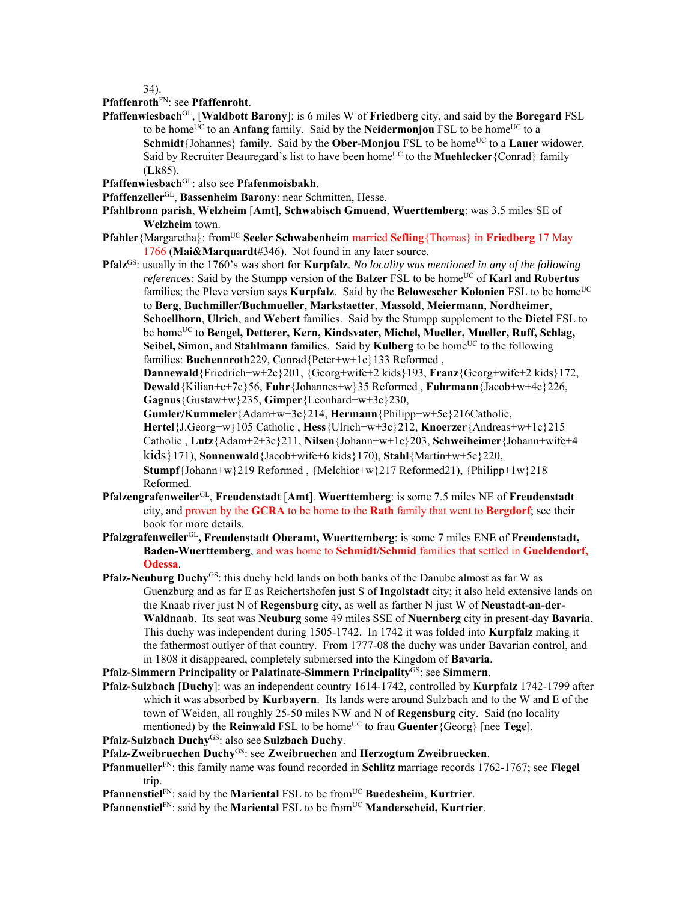34).

## **Pfaffenroth**FN: see **Pfaffenroht**.

- **Pfaffenwiesbach**GL, [**Waldbott Barony**]: is 6 miles W of **Friedberg** city, and said by the **Boregard** FSL to be home<sup>UC</sup> to an **Anfang** family. Said by the **Neidermonjou** FSL to be home<sup>UC</sup> to a **Schmidt**{Johannes} family. Said by the **Ober-Monjou** FSL to be home<sup>UC</sup> to a **Lauer** widower. Said by Recruiter Beauregard's list to have been home<sup>UC</sup> to the **Muehlecker** {Conrad} family (**Lk**85).
- **Pfaffenwiesbach**GL: also see **Pfafenmoisbakh**.
- **Pfaffenzeller**GL, **Bassenheim Barony**: near Schmitten, Hesse.
- **Pfahlbronn parish**, **Welzheim** [**Amt**], **Schwabisch Gmuend**, **Wuerttemberg**: was 3.5 miles SE of **Welzheim** town.
- **Pfahler**{Margaretha}: fromUC **Seeler Schwabenheim** married **Sefling**{Thomas} in **Friedberg** 17 May 1766 (**Mai&Marquardt**#346). Not found in any later source.
- **Pfalz**GS: usually in the 1760's was short for **Kurpfalz**. *No locality was mentioned in any of the following references:* Said by the Stumpp version of the **Balzer** FSL to be home<sup>UC</sup> of **Karl** and **Robertus** families; the Pleve version says **Kurpfalz**. Said by the **Belowescher Kolonien** FSL to be home<sup>UC</sup> to **Berg**, **Buchmiller/Buchmueller**, **Markstaetter**, **Massold**, **Meiermann**, **Nordheimer**, **Schoellhorn**, **Ulrich**, and **Webert** families. Said by the Stumpp supplement to the **Dietel** FSL to be home<sup>UC</sup> to **Bengel, Detterer, Kern, Kindsvater, Michel, Mueller, Mueller, Ruff, Schlag, Seibel, Simon, and Stahlmann** families. Said by **Kulberg** to be home<sup>UC</sup> to the following families: **Buchennroth**229, Conrad{Peter+w+1c}133 Reformed ,

**Dannewald**{Friedrich+w+2c}201, {Georg+wife+2 kids}193, **Franz**{Georg+wife+2 kids}172, **Dewald**{Kilian+c+7c}56, **Fuhr**{Johannes+w}35 Reformed , **Fuhrmann**{Jacob+w+4c}226, **Gagnus**{Gustaw+w}235, **Gimper**{Leonhard+w+3c}230,

**Gumler/Kummeler**{Adam+w+3c}214, **Hermann**{Philipp+w+5c}216Catholic, **Hertel**{J.Georg+w}105 Catholic , **Hess**{Ulrich+w+3c}212, **Knoerzer**{Andreas+w+1c}215 Catholic , **Lutz**{Adam+2+3c}211, **Nilsen**{Johann+w+1c}203, **Schweiheimer**{Johann+wife+4 kids}171), **Sonnenwald**{Jacob+wife+6 kids}170), **Stahl**{Martin+w+5c}220, **Stumpf**{Johann+w}219 Reformed , {Melchior+w}217 Reformed21), {Philipp+1w}218 Reformed.

- **Pfalzengrafenweiler**GL, **Freudenstadt** [**Amt**]. **Wuerttemberg**: is some 7.5 miles NE of **Freudenstadt** city, and proven by the **GCRA** to be home to the **Rath** family that went to **Bergdorf**; see their book for more details.
- **Pfalzgrafenweiler**GL**, Freudenstadt Oberamt, Wuerttemberg**: is some 7 miles ENE of **Freudenstadt, Baden-Wuerttemberg**, and was home to **Schmidt/Schmid** families that settled in **Gueldendorf, Odessa**.
- Pfalz-Neuburg Duchy<sup>GS</sup>: this duchy held lands on both banks of the Danube almost as far W as Guenzburg and as far E as Reichertshofen just S of **Ingolstadt** city; it also held extensive lands on the Knaab river just N of **Regensburg** city, as well as farther N just W of **Neustadt-an-der-Waldnaab**. Its seat was **Neuburg** some 49 miles SSE of **Nuernberg** city in present-day **Bavaria**. This duchy was independent during 1505-1742. In 1742 it was folded into **Kurpfalz** making it the fathermost outlyer of that country. From 1777-08 the duchy was under Bavarian control, and in 1808 it disappeared, completely submersed into the Kingdom of **Bavaria**.

**Pfalz-Simmern Principality** or **Palatinate-Simmern Principality**GS: see **Simmern**.

**Pfalz-Sulzbach** [**Duchy**]: was an independent country 1614-1742, controlled by **Kurpfalz** 1742-1799 after which it was absorbed by **Kurbayern**. Its lands were around Sulzbach and to the W and E of the town of Weiden, all roughly 25-50 miles NW and N of **Regensburg** city. Said (no locality mentioned) by the **Reinwald** FSL to be home<sup>UC</sup> to frau **Guenter**{Georg} [nee **Tege**].

**Pfalz-Sulzbach Duchy**GS: also see **Sulzbach Duchy**.

**Pfalz-Zweibruechen Duchy**GS: see **Zweibruechen** and **Herzogtum Zweibruecken**.

**Pfanmueller**FN: this family name was found recorded in **Schlitz** marriage records 1762-1767; see **Flegel** trip.

**Pfannenstiel**FN: said by the **Mariental** FSL to be from<sup>UC</sup> Buedesheim, Kurtrier.

**Pfannenstiel**<sup>FN</sup>: said by the **Mariental** FSL to be from<sup>UC</sup> **Manderscheid, Kurtrier**.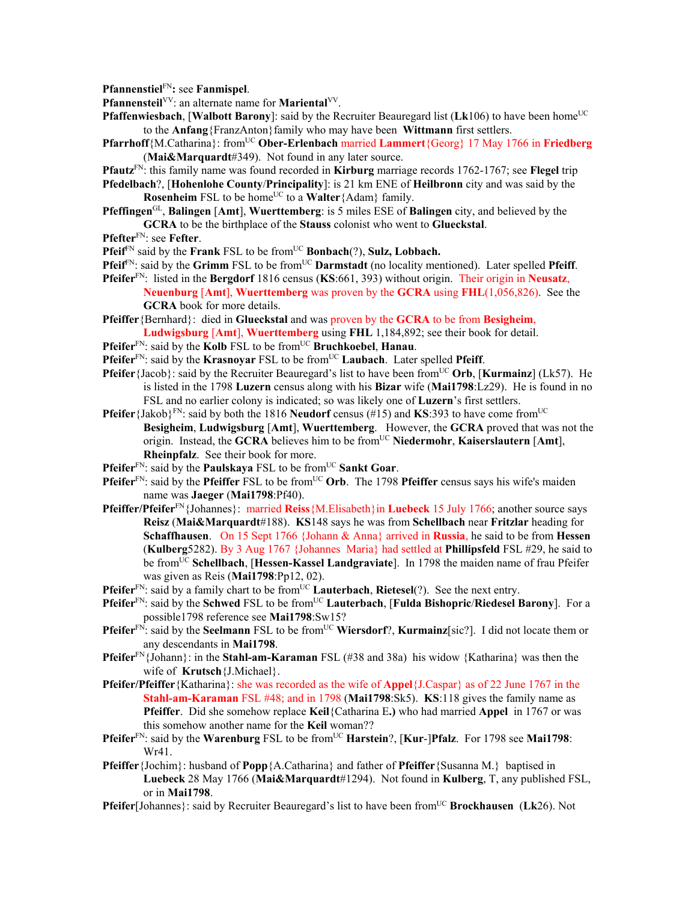**Pfannenstiel**FN**:** see **Fanmispel**.

Pfannensteil<sup>VV</sup>: an alternate name for **Mariental**<sup>VV</sup>.

- **Pfaffenwiesbach, [Walbott Barony]:** said by the Recruiter Beauregard list (Lk106) to have been home<sup>UC</sup> to the **Anfang**{FranzAnton}family who may have been **Wittmann** first settlers.
- **Pfarrhoff**{M.Catharina}: from<sup>UC</sup> **Ober-Erlenbach** married **Lammert**{Georg} 17 May 1766 in **Friedberg** (**Mai&Marquardt**#349). Not found in any later source.

**Pfautz**FN: this family name was found recorded in **Kirburg** marriage records 1762-1767; see **Flegel** trip

**Pfedelbach**?, [**Hohenlohe County**/**Principality**]: is 21 km ENE of **Heilbronn** city and was said by the **Rosenheim** FSL to be home<sup>UC</sup> to a **Walter**{Adam} family.

**Pfeffingen**GL, **Balingen** [**Amt**], **Wuerttemberg**: is 5 miles ESE of **Balingen** city, and believed by the **GCRA** to be the birthplace of the **Stauss** colonist who went to **Glueckstal**.

**Pfefter**<sup>FN</sup>: see **Fefter**.

**Pfeif**<sup>FN</sup> said by the **Frank** FSL to be from<sup>UC</sup> **Bonbach**(?), **Sulz, Lobbach.** 

- **Pfeif**<sup>FN</sup>: said by the **Grimm** FSL to be from<sup>UC</sup> **Darmstadt** (no locality mentioned). Later spelled **Pfeiff**.
- **Pfeifer**FN: listed in the **Bergdorf** 1816 census (**KS**:661, 393) without origin. Their origin in **Neusatz**, **Neuenburg** [**Amt**], **Wuerttemberg** was proven by the **GCRA** using **FHL**(1,056,826). See the **GCRA** book for more details.
- **Pfeiffer**{Bernhard}: died in **Glueckstal** and was proven by the **GCRA** to be from **Besigheim**, **Ludwigsburg** [**Amt**], **Wuerttemberg** using **FHL** 1,184,892; see their book for detail.
- **Pfeifer**<sup>FN</sup>: said by the **Kolb** FSL to be from<sup>UC</sup> **Bruchkoebel**, **Hanau**.
- **Pfeifer**<sup>FN</sup>: said by the **Krasnoyar** FSL to be from<sup>UC</sup> **Laubach**. Later spelled **Pfeiff**.
- **Pfeifer** {Jacob}: said by the Recruiter Beauregard's list to have been from<sup>UC</sup> Orb, [Kurmainz] (Lk57). He is listed in the 1798 **Luzern** census along with his **Bizar** wife (**Mai1798**:Lz29). He is found in no FSL and no earlier colony is indicated; so was likely one of **Luzern**'s first settlers.
- **Pfeifer** {Jakob}<sup>FN</sup>: said by both the 1816 **Neudorf** census (#15) and **KS**:393 to have come from<sup>UC</sup> **Besigheim**, **Ludwigsburg** [**Amt**], **Wuerttemberg**. However, the **GCRA** proved that was not the origin. Instead, the **GCRA** believes him to be from<sup>UC</sup> Niedermohr, Kaiserslautern [Amt], **Rheinpfalz**. See their book for more.
- **Pfeifer**<sup>FN</sup>: said by the **Paulskaya** FSL to be from<sup>UC</sup> Sankt Goar.
- **Pfeifer**<sup>FN</sup>: said by the **Pfeiffer** FSL to be from<sup>UC</sup> Orb. The 1798 **Pfeiffer** census says his wife's maiden name was **Jaeger** (**Mai1798**:Pf40).
- **Pfeiffer/Pfeifer**FN{Johannes}: married **Reiss**{M.Elisabeth}in **Luebeck** 15 July 1766; another source says **Reisz** (**Mai&Marquardt**#188). **KS**148 says he was from **Schellbach** near **Fritzlar** heading for **Schaffhausen**. On 15 Sept 1766 {Johann & Anna} arrived in **Russia**, he said to be from **Hessen** (**Kulberg**5282). By 3 Aug 1767 {Johannes Maria} had settled at **Phillipsfeld** FSL #29, he said to be fromUC **Schellbach**, [**Hessen-Kassel Landgraviate**]. In 1798 the maiden name of frau Pfeifer was given as Reis (**Mai1798**:Pp12, 02).
- **Pfeifer**<sup>FN</sup>: said by a family chart to be from<sup>UC</sup> Lauterbach, Rietesel(?). See the next entry.
- **Pfeifer**<sup>FN</sup>: said by the **Schwed** FSL to be from<sup>UC</sup> **Lauterbach**, [**Fulda Bishopric**/**Riedesel Barony**]. For a possible1798 reference see **Mai1798**:Sw15?
- **Pfeifer**<sup>FN</sup>: said by the **Seelmann** FSL to be from<sup>UC</sup> Wiersdorf?, **Kurmainz**[sic?]. I did not locate them or any descendants in **Mai1798**.
- **Pfeifer**FN{Johann}: in the **Stahl-am-Karaman** FSL (#38 and 38a) his widow {Katharina} was then the wife of **Krutsch**{J.Michael}.
- **Pfeifer/Pfeiffer**{Katharina}: she was recorded as the wife of **Appel**{J.Caspar} as of 22 June 1767 in the **Stahl-am-Karaman** FSL #48; and in 1798 (**Mai1798**:Sk5). **KS**:118 gives the family name as **Pfeiffer**. Did she somehow replace **Keil**{Catharina E**.)** who had married **Appel** in 1767 or was this somehow another name for the **Keil** woman??
- **Pfeifer**<sup>FN</sup>: said by the **Warenburg** FSL to be from<sup>UC</sup> **Harstein**?, [**Kur-**]Pfalz. For 1798 see **Mai1798**: Wr41.
- **Pfeiffer**{Jochim}: husband of **Popp**{A.Catharina} and father of **Pfeiffer**{Susanna M.} baptised in **Luebeck** 28 May 1766 (**Mai&Marquardt**#1294). Not found in **Kulberg**, T, any published FSL, or in **Mai1798**.
- **Pfeifer**[Johannes]: said by Recruiter Beauregard's list to have been from<sup>UC</sup> **Brockhausen** (Lk26). Not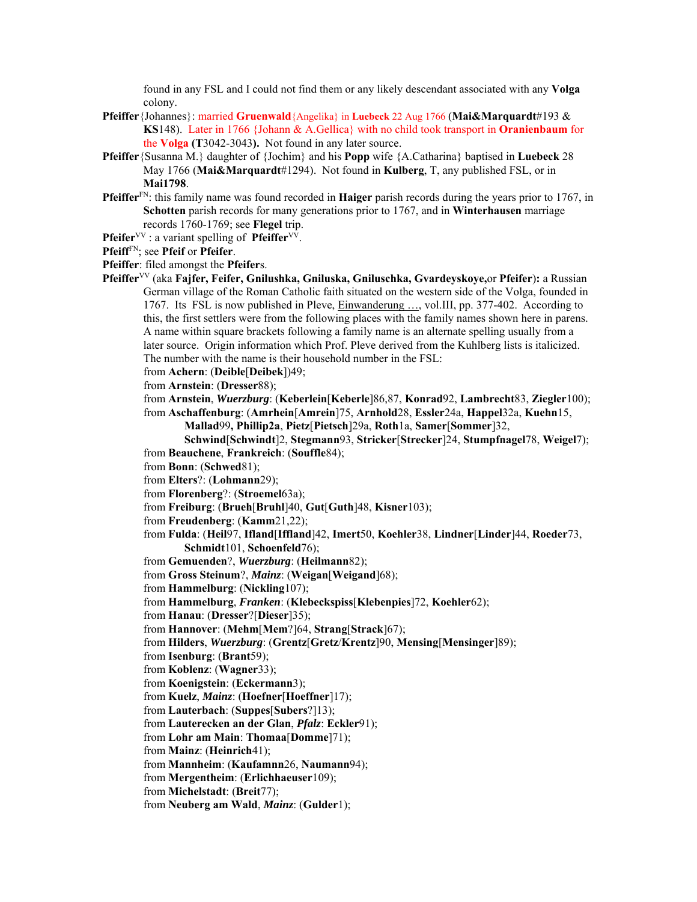found in any FSL and I could not find them or any likely descendant associated with any **Volga** colony.

- **Pfeiffer**{Johannes}: married **Gruenwald**{Angelika} in **Luebeck** 22 Aug 1766 (**Mai&Marquardt**#193 & **KS**148). Later in 1766 {Johann & A.Gellica} with no child took transport in **Oranienbaum** for the **Volga (T**3042-3043**).** Not found in any later source.
- **Pfeiffer**{Susanna M.} daughter of {Jochim} and his **Popp** wife {A.Catharina} baptised in **Luebeck** 28 May 1766 (**Mai&Marquardt**#1294). Not found in **Kulberg**, T, any published FSL, or in **Mai1798**.
- **Pfeiffer**FN: this family name was found recorded in **Haiger** parish records during the years prior to 1767, in **Schotten** parish records for many generations prior to 1767, and in **Winterhausen** marriage records 1760-1769; see **Flegel** trip.

**Pfeifer**<sup>VV</sup> : a variant spelling of **Pfeiffer**<sup>VV</sup>.

**Pfeiff**FN; see **Pfeif** or **Pfeifer**.

**Pfeiffer**: filed amongst the **Pfeifer**s.

- **Pfeiffer**VV (aka **Fajfer, Feifer, Gnilushka, Gniluska, Gniluschka, Gvardeyskoye,**or **Pfeifer**)**:** a Russian German village of the Roman Catholic faith situated on the western side of the Volga, founded in 1767. Its FSL is now published in Pleve, Einwanderung …, vol.III, pp. 377-402. According to this, the first settlers were from the following places with the family names shown here in parens. A name within square brackets following a family name is an alternate spelling usually from a later source. Origin information which Prof. Pleve derived from the Kuhlberg lists is italicized. The number with the name is their household number in the FSL:
	- from **Achern**: (**Deible**[**Deibek**])49;

from **Arnstein**: (**Dresser**88);

- from **Arnstein**, *Wuerzburg*: (**Keberlein**[**Keberle**]86,87, **Konrad**92, **Lambrecht**83, **Ziegler**100); from **Aschaffenburg**: (**Amrhein**[**Amrein**]75, **Arnhold**28, **Essler**24a, **Happel**32a, **Kuehn**15,
	- **Mallad**99**, Phillip2a**, **Pietz**[**Pietsch**]29a, **Roth**1a, **Samer**[**Sommer**]32,
- **Schwind**[**Schwindt**]2, **Stegmann**93, **Stricker**[**Strecker**]24, **Stumpfnagel**78, **Weigel**7); from **Beauchene**, **Frankreich**: (**Souffle**84);
- from **Bonn**: (**Schwed**81);
- from **Elters**?: (**Lohmann**29);
- from **Florenberg**?: (**Stroemel**63a);
- from **Freiburg**: (**Brueh**[**Bruhl**]40, **Gut**[**Guth**]48, **Kisner**103);
- from **Freudenberg**: (**Kamm**21,22);
- from **Fulda**: (**Heil**97, **Ifland**[**Iffland**]42, **Imert**50, **Koehler**38, **Lindner**[**Linder**]44, **Roeder**73, **Schmidt**101, **Schoenfeld**76);
- from **Gemuenden**?, *Wuerzburg*: (**Heilmann**82);
- from **Gross Steinum**?, *Mainz*: (**Weigan**[**Weigand**]68);
- from **Hammelburg**: (**Nickling**107);
- from **Hammelburg**, *Franken*: (**Klebeckspiss**[**Klebenpies**]72, **Koehler**62);
- from **Hanau**: (**Dresser**?[**Dieser**]35);
- from **Hannover**: (**Mehm**[**Mem**?]64, **Strang**[**Strack**]67);
- from **Hilders**, *Wuerzburg*: (**Grentz**[**Gretz**/**Krentz**]90, **Mensing**[**Mensinger**]89);
- from **Isenburg**: (**Brant**59);
- from **Koblenz**: (**Wagner**33);
- from **Koenigstein**: (**Eckermann**3);
- from **Kuelz**, *Mainz*: (**Hoefner**[**Hoeffner**]17);
- from **Lauterbach**: (**Suppes**[**Subers**?]13);
- from **Lauterecken an der Glan**, *Pfalz*: **Eckler**91);
- from **Lohr am Main**: **Thomaa**[**Domme**]71);
- from **Mainz**: (**Heinrich**41);
- from **Mannheim**: (**Kaufamnn**26, **Naumann**94);
- from **Mergentheim**: (**Erlichhaeuser**109);
- from **Michelstadt**: (**Breit**77);
- from **Neuberg am Wald**, *Mainz*: (**Gulder**1);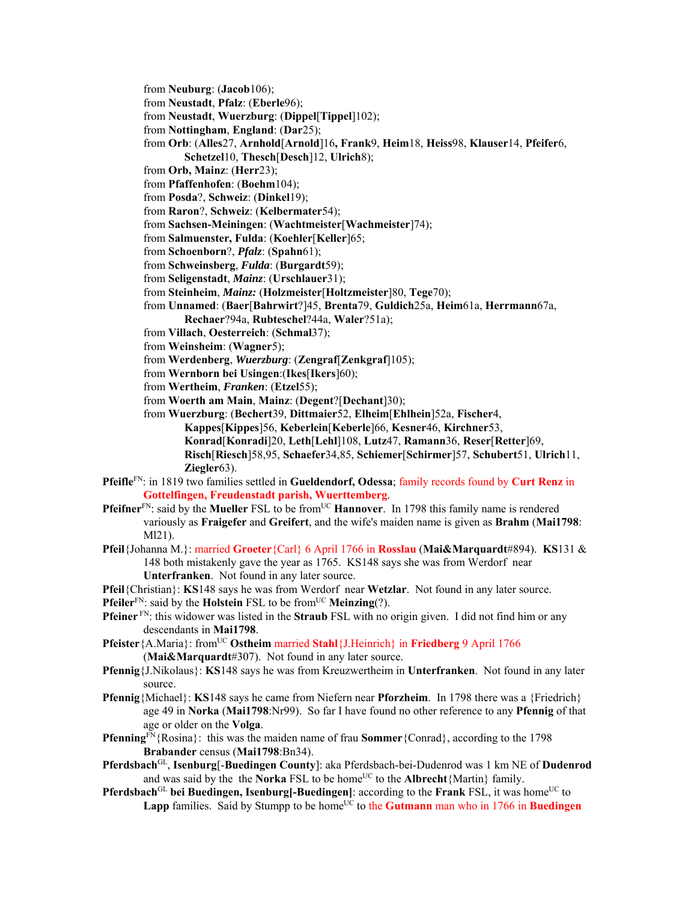- from **Neuburg**: (**Jacob**106);
- from **Neustadt**, **Pfalz**: (**Eberle**96);
- from **Neustadt**, **Wuerzburg**: (**Dippel**[**Tippel**]102);
- from **Nottingham**, **England**: (**Dar**25);
- from **Orb**: (**Alles**27, **Arnhold**[**Arnold**]16**, Frank**9, **Heim**18, **Heiss**98, **Klauser**14, **Pfeifer**6,
	- **Schetzel**10, **Thesch**[**Desch**]12, **Ulrich**8);
- from **Orb, Mainz**: (**Herr**23);
- from **Pfaffenhofen**: (**Boehm**104);
- from **Posda**?, **Schweiz**: (**Dinkel**19);
- from **Raron**?, **Schweiz**: (**Kelbermater**54);
- from **Sachsen-Meiningen**: (**Wachtmeister**[**Wachmeister**]74);
- from **Salmuenster, Fulda**: (**Koehler**[**Keller**]65;
- from **Schoenborn**?, *Pfalz*: (**Spahn**61);
- from **Schweinsberg**, *Fulda*: (**Burgardt**59);
- from **Seligenstadt**, *Mainz*: (**Urschlauer**31);
- from **Steinheim**, *Mainz:* (**Holzmeister**[**Holtzmeister**]80, **Tege**70);
- from **Unnamed**: (**Baer**[**Bahrwirt**?]45, **Brenta**79, **Guldich**25a, **Heim**61a, **Herrmann**67a,
- **Rechaer**?94a, **Rubteschel**?44a, **Waler**?51a);
- from **Villach**, **Oesterreich**: (**Schmal**37);
- from **Weinsheim**: (**Wagner**5);
- from **Werdenberg**, *Wuerzburg*: (**Zengraf**[**Zenkgraf**]105);
- from **Wernborn bei Usingen**:(**Ikes**[**Ikers**]60);
- from **Wertheim**, *Franken*: (**Etzel**55);
- from **Woerth am Main**, **Mainz**: (**Degent**?[**Dechant**]30);

from **Wuerzburg**: (**Bechert**39, **Dittmaier**52, **Elheim**[**Ehlhein**]52a, **Fischer**4,

**Kappes**[**Kippes**]56, **Keberlein**[**Keberle**]66, **Kesner**46, **Kirchner**53,

**Konrad**[**Konradi**]20, **Leth**[**Lehl**]108, **Lutz**47, **Ramann**36, **Reser**[**Retter**]69,

**Risch**[**Riesch**]58,95, **Schaefer**34,85, **Schiemer**[**Schirmer**]57, **Schubert**51, **Ulrich**11, **Ziegler**63).

- **Pfeifle**FN: in 1819 two families settled in **Gueldendorf, Odessa**; family records found by **Curt Renz** in **Gottelfingen, Freudenstadt parish, Wuerttemberg**.
- **Pfeifner**<sup>FN</sup>: said by the **Mueller** FSL to be from<sup>UC</sup> **Hannover**. In 1798 this family name is rendered variously as **Fraigefer** and **Greifert**, and the wife's maiden name is given as **Brahm** (**Mai1798**: Ml21).
- **Pfeil**{Johanna M.}: married **Groeter**{Carl} 6 April 1766 in **Rosslau** (**Mai&Marquardt**#894). **KS**131 & 148 both mistakenly gave the year as 1765. KS148 says she was from Werdorf near **Unterfranken**. Not found in any later source.

**Pfeil**{Christian}: **KS**148 says he was from Werdorf near **Wetzlar**. Not found in any later source.

- **Pfeiler**<sup>FN</sup>: said by the **Holstein** FSL to be from<sup>UC</sup> **Meinzing**(?).
- **Pfeiner** FN: this widower was listed in the **Straub** FSL with no origin given. I did not find him or any descendants in **Mai1798**.
- **Pfeister** {A.Maria}: from<sup>UC</sup> **Ostheim** married **Stahl** {J.Heinrich} in **Friedberg** 9 April 1766 (**Mai&Marquardt**#307). Not found in any later source.
- **Pfennig**{J.Nikolaus}: **KS**148 says he was from Kreuzwertheim in **Unterfranken**. Not found in any later source.
- **Pfennig**{Michael}: **KS**148 says he came from Niefern near **Pforzheim**. In 1798 there was a {Friedrich} age 49 in **Norka** (**Mai1798**:Nr99). So far I have found no other reference to any **Pfennig** of that age or older on the **Volga**.
- **Pfenning**FN<sub>{Rosina}</sub>: this was the maiden name of frau **Sommer**{Conrad}, according to the 1798 **Brabander** census (**Mai1798**:Bn34).
- **Pferdsbach**GL, **Isenburg**[-**Buedingen County**]: aka Pferdsbach-bei-Dudenrod was 1 km NE of **Dudenrod** and was said by the the **Norka** FSL to be home<sup>UC</sup> to the **Albrecht** ${Martin}$  family.
- **Pferdsbach**<sup>GL</sup> bei Buedingen, Isenburg[-Buedingen]: according to the Frank FSL, it was home<sup>UC</sup> to Lapp families. Said by Stumpp to be home<sup>UC</sup> to the Gutmann man who in 1766 in Buedingen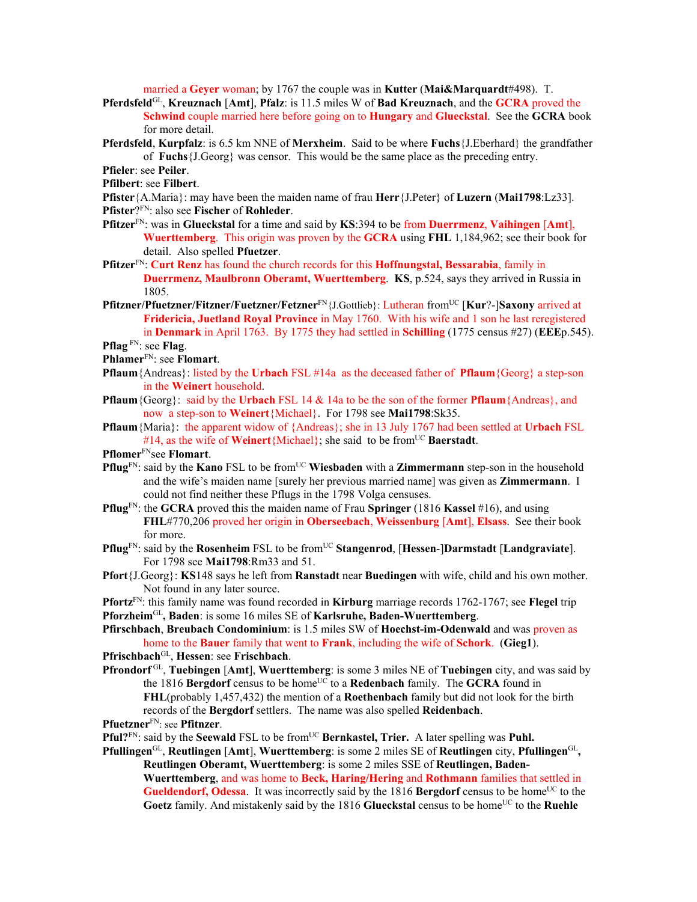married a **Geyer** woman; by 1767 the couple was in **Kutter** (**Mai&Marquardt**#498). T.

- **Pferdsfeld**GL, **Kreuznach** [**Amt**], **Pfalz**: is 11.5 miles W of **Bad Kreuznach**, and the **GCRA** proved the **Schwind** couple married here before going on to **Hungary** and **Glueckstal**. See the **GCRA** book for more detail.
- **Pferdsfeld**, **Kurpfalz**: is 6.5 km NNE of **Merxheim**. Said to be where **Fuchs**{J.Eberhard} the grandfather of **Fuchs**{J.Georg} was censor. This would be the same place as the preceding entry.
- **Pfieler**: see **Peiler**.
- **Pfilbert**: see **Filbert**.
- **Pfister**{A.Maria}: may have been the maiden name of frau **Herr**{J.Peter} of **Luzern** (**Mai1798**:Lz33]. **Pfister**?FN: also see **Fischer** of **Rohleder**.
- **Pfitzer**FN: was in **Glueckstal** for a time and said by **KS**:394 to be from **Duerrmenz**, **Vaihingen** [**Amt**], **Wuerttemberg**. This origin was proven by the **GCRA** using **FHL** 1,184,962; see their book for detail. Also spelled **Pfuetzer**.
- **Pfitzer**FN: **Curt Renz** has found the church records for this **Hoffnungstal, Bessarabia**, family in **Duerrmenz, Maulbronn Oberamt, Wuerttemberg**. **KS**, p.524, says they arrived in Russia in 1805.
- **Pfitzner/Pfuetzner/Fitzner/Fuetzner/Fetzner**FN{J.Gottlieb}: Lutheran fromUC [**Kur**?-]**Saxony** arrived at **Fridericia, Juetland Royal Province** in May 1760. With his wife and 1 son he last reregistered in **Denmark** in April 1763. By 1775 they had settled in **Schilling** (1775 census #27) (**EEE**p.545). **Pflag** FN: see **Flag**.
- 

- **Pflaum**{Andreas}: listed by the **Urbach** FSL #14a as the deceased father of **Pflaum**{Georg} a step-son in the **Weinert** household.
- **Pflaum**{Georg}: said by the **Urbach** FSL 14 & 14a to be the son of the former **Pflaum**{Andreas}, and now a step-son to **Weinert**{Michael}. For 1798 see **Mai1798**:Sk35.
- **Pflaum**{Maria}: the apparent widow of {Andreas}; she in 13 July 1767 had been settled at **Urbach** FSL #14, as the wife of **Weinert**{Michael}; she said to be from<sup>UC</sup> **Baerstadt**.

**Pflomer**FNsee **Flomart**.

- **Pflug**<sup>FN</sup>: said by the **Kano** FSL to be from<sup>UC</sup> Wiesbaden with a **Zimmermann** step-son in the household and the wife's maiden name [surely her previous married name] was given as **Zimmermann**. I could not find neither these Pflugs in the 1798 Volga censuses.
- **Pflug**FN: the **GCRA** proved this the maiden name of Frau **Springer** (1816 **Kassel** #16), and using **FHL**#770,206 proved her origin in **Oberseebach**, **Weissenburg** [**Amt**], **Elsass**. See their book for more.
- **Pflug**<sup>FN</sup>: said by the **Rosenheim** FSL to be from<sup>UC</sup> **Stangenrod**, [Hessen-]Darmstadt [Landgraviate]. For 1798 see **Mai1798**:Rm33 and 51.
- **Pfort**{J.Georg}: **KS**148 says he left from **Ranstadt** near **Buedingen** with wife, child and his own mother. Not found in any later source.
- **Pfortz**FN: this family name was found recorded in **Kirburg** marriage records 1762-1767; see **Flegel** trip **Pforzheim**GL**, Baden**: is some 16 miles SE of **Karlsruhe, Baden-Wuerttemberg**.
- **Pfirschbach**, **Breubach Condominium**: is 1.5 miles SW of **Hoechst-im-Odenwald** and was proven as home to the **Bauer** family that went to **Frank**, including the wife of **Schork**. (**Gieg1**).
- **Pfrischbach**GL, **Hessen**: see **Frischbach**.
- **Pfrondorf** GL, **Tuebingen** [**Amt**], **Wuerttemberg**: is some 3 miles NE of **Tuebingen** city, and was said by the 1816 **Bergdorf** census to be home<sup>UC</sup> to a **Redenbach** family. The **GCRA** found in **FHL**(probably 1,457,432) the mention of a **Roethenbach** family but did not look for the birth records of the **Bergdorf** settlers. The name was also spelled **Reidenbach**.

**Pfuetzner**FN: see **Pfitnzer**.

- **Pful?**<sup>FN</sup>: said by the **Seewald** FSL to be from<sup>UC</sup> **Bernkastel, Trier.** A later spelling was **Puhl.**
- **Pfullingen**GL, **Reutlingen** [**Amt**], **Wuerttemberg**: is some 2 miles SE of **Reutlingen** city, **Pfullingen**GL**, Reutlingen Oberamt, Wuerttemberg**: is some 2 miles SSE of **Reutlingen, Baden-Wuerttemberg**, and was home to **Beck, Haring/Hering** and **Rothmann** families that settled in **Gueldendorf, Odessa**. It was incorrectly said by the 1816 **Bergdorf** census to be home<sup>UC</sup> to the Goetz family. And mistakenly said by the 1816 Glueckstal census to be home<sup>UC</sup> to the Ruehle

**Phlamer**FN: see **Flomart**.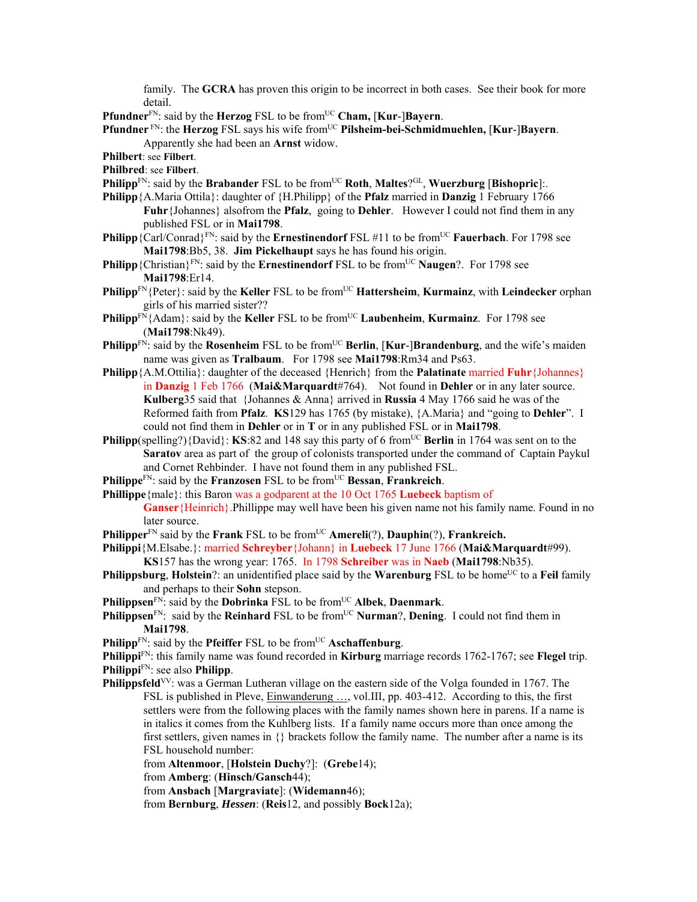family. The **GCRA** has proven this origin to be incorrect in both cases. See their book for more detail.

**Pfundner**<sup>FN</sup>: said by the **Herzog** FSL to be from<sup>UC</sup> **Cham, [Kur-]Bayern**.

**Pfundner** FN: the **Herzog** FSL says his wife fromUC **Pilsheim-bei-Schmidmuehlen,** [**Kur**-]**Bayern**. Apparently she had been an **Arnst** widow.

**Philbert**: see **Filbert**.

**Philbred**: see **Filbert**.

- **Philipp**<sup>FN</sup>: said by the **Brabander** FSL to be from<sup>UC</sup> **Roth**, **Maltes**<sup>9GL</sup>, **Wuerzburg** [**Bishopric**]:.
- **Philipp**{A.Maria Ottila}: daughter of {H.Philipp} of the **Pfalz** married in **Danzig** 1 February 1766 **Fuhr**{Johannes} alsofrom the **Pfalz**, going to **Dehler**. However I could not find them in any published FSL or in **Mai1798**.
- **Philipp** {Carl/Conrad}<sup>FN</sup>: said by the **Ernestinendorf** FSL #11 to be from<sup>UC</sup> **Fauerbach**. For 1798 see **Mai1798**:Bb5, 38. **Jim Pickelhaupt** says he has found his origin.
- **Philipp** {Christian}<sup>FN</sup>: said by the **Ernestinendorf** FSL to be from<sup>UC</sup> **Naugen**?. For 1798 see **Mai1798**:Er14.
- **Philipp**<sup>FN</sup>{Peter}: said by the **Keller** FSL to be from<sup>UC</sup> **Hattersheim**, **Kurmainz**, with **Leindecker** orphan girls of his married sister??
- **Philipp**FN{Adam}: said by the **Keller** FSL to be fromUC **Laubenheim**, **Kurmainz**. For 1798 see (**Mai1798**:Nk49).
- **Philipp**<sup>FN</sup>: said by the **Rosenheim** FSL to be from<sup>UC</sup> **Berlin**, [**Kur-]Brandenburg**, and the wife's maiden name was given as **Tralbaum**. For 1798 see **Mai1798**:Rm34 and Ps63.
- **Philipp** ${A.M. Ottilia}$ : daughter of the deceased  ${Henrich}$  from the **Palatinate** married **Fuhr** {Johannes} in **Danzig** 1 Feb 1766 (**Mai&Marquardt**#764). Not found in **Dehler** or in any later source. **Kulberg**35 said that {Johannes & Anna} arrived in **Russia** 4 May 1766 said he was of the Reformed faith from **Pfalz**. **KS**129 has 1765 (by mistake), {A.Maria} and "going to **Dehler**". I could not find them in **Dehler** or in **T** or in any published FSL or in **Mai1798**.
- **Philipp**(spelling?){David}: **KS**:82 and 148 say this party of 6 from<sup>UC</sup> **Berlin** in 1764 was sent on to the **Saratov** area as part of the group of colonists transported under the command of Captain Paykul and Cornet Rehbinder. I have not found them in any published FSL.
- **Philippe**<sup>FN</sup>: said by the **Franzosen** FSL to be from<sup>UC</sup> **Bessan**, **Frankreich**.
- **Phillippe**{male}: this Baron was a godparent at the 10 Oct 1765 **Luebeck** baptism of

**Ganser**{Heinrich}.Phillippe may well have been his given name not his family name. Found in no later source.

- **Philipper**<sup>FN</sup> said by the **Frank** FSL to be from<sup>UC</sup> **Amereli**(?), **Dauphin**(?), **Frankreich.**
- **Philippi**{M.Elsabe.}: married **Schreyber**{Johann} in **Luebeck** 17 June 1766 (**Mai&Marquardt**#99). **KS**157 has the wrong year: 1765. In 1798 **Schreiber** was in **Naeb** (**Mai1798**:Nb35).
- **Philippsburg, Holstein**?: an unidentified place said by the **Warenburg** FSL to be home<sup>UC</sup> to a **Feil** family and perhaps to their **Sohn** stepson.
- **Philippsen**<sup>FN</sup>: said by the **Dobrinka** FSL to be from<sup>UC</sup> Albek, **Daenmark**.
- **Philippsen**<sup>FN</sup>: said by the **Reinhard** FSL to be from<sup>UC</sup> **Nurman**?, **Dening**. I could not find them in **Mai1798**.
- **Philipp**<sup>FN</sup>: said by the **Pfeiffer** FSL to be from<sup>UC</sup> **Aschaffenburg**.

**Philippi**FN: this family name was found recorded in **Kirburg** marriage records 1762-1767; see **Flegel** trip. **Philippi**FN: see also **Philipp**.

**Philippsfeld**<sup>VV</sup>: was a German Lutheran village on the eastern side of the Volga founded in 1767. The FSL is published in Pleve, Einwanderung …, vol.III, pp. 403-412. According to this, the first settlers were from the following places with the family names shown here in parens. If a name is in italics it comes from the Kuhlberg lists. If a family name occurs more than once among the first settlers, given names in  $\{\}$  brackets follow the family name. The number after a name is its FSL household number:

from **Altenmoor**, [**Holstein Duchy**?]: (**Grebe**14);

from **Amberg**: (**Hinsch/Gansch**44);

from **Ansbach** [**Margraviate**]: (**Widemann**46);

from **Bernburg**, *Hessen*: (**Reis**12, and possibly **Bock**12a);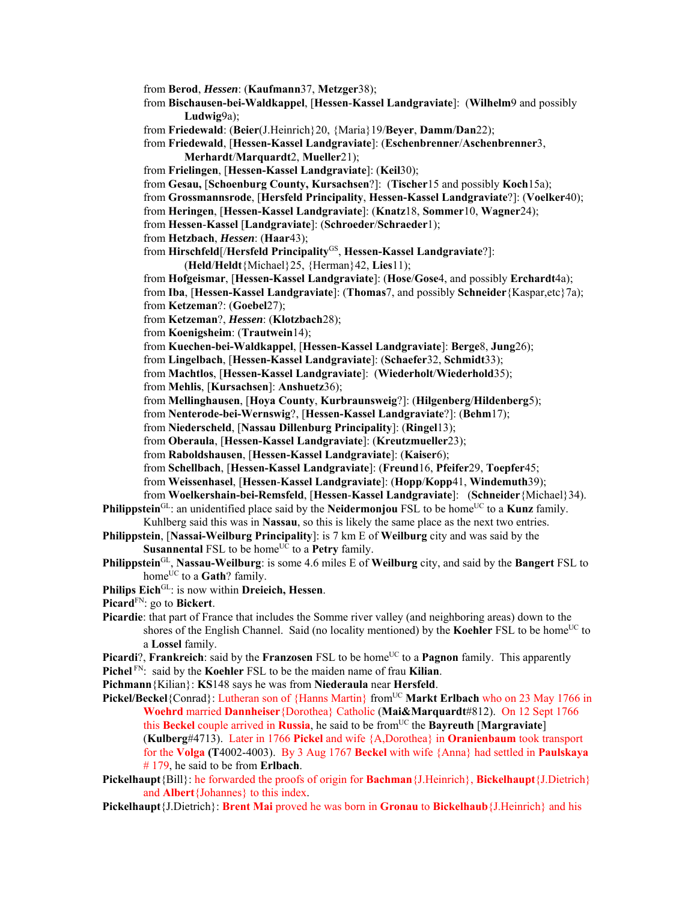from **Berod**, *Hessen*: (**Kaufmann**37, **Metzger**38); from **Bischausen-bei-Waldkappel**, [**Hessen**-**Kassel Landgraviate**]: (**Wilhelm**9 and possibly **Ludwig**9a); from **Friedewald**: (**Beier**(J.Heinrich}20, {Maria}19/**Beyer**, **Damm**/**Dan**22); from **Friedewald**, [**Hessen-Kassel Landgraviate**]: (**Eschenbrenner**/**Aschenbrenner**3, **Merhardt**/**Marquardt**2, **Mueller**21); from **Frielingen**, [**Hessen-Kassel Landgraviate**]: (**Keil**30); from **Gesau,** [**Schoenburg County, Kursachsen**?]: (**Tischer**15 and possibly **Koch**15a); from **Grossmannsrode**, [**Hersfeld Principality**, **Hessen-Kassel Landgraviate**?]: (**Voelker**40); from **Heringen**, [**Hessen-Kassel Landgraviate**]: (**Knatz**18, **Sommer**10, **Wagner**24); from **Hessen**-**Kassel** [**Landgraviate**]: (**Schroeder**/**Schraeder**1); from **Hetzbach**, *Hessen*: (**Haar**43); from **Hirschfeld**[/**Hersfeld Principality**GS, **Hessen-Kassel Landgraviate**?]: (**Held**/**Heldt**{Michael}25, {Herman}42, **Lies**11); from **Hofgeismar**, [**Hessen-Kassel Landgraviate**]: (**Hose**/**Gose**4, and possibly **Erchardt**4a); from **Iba**, [**Hessen-Kassel Landgraviate**]: (**Thomas**7, and possibly **Schneider**{Kaspar,etc}7a); from **Ketzeman**?: (**Goebel**27); from **Ketzeman**?, *Hessen*: (**Klotzbach**28); from **Koenigsheim**: (**Trautwein**14); from **Kuechen-bei-Waldkappel**, [**Hessen-Kassel Landgraviate**]: **Berge**8, **Jung**26); from **Lingelbach**, [**Hessen-Kassel Landgraviate**]: (**Schaefer**32, **Schmidt**33); from **Machtlos**, [**Hessen-Kassel Landgraviate**]: (**Wiederholt**/**Wiederhold**35); from **Mehlis**, [**Kursachsen**]: **Anshuetz**36); from **Mellinghausen**, [**Hoya County**, **Kurbraunsweig**?]: (**Hilgenberg**/**Hildenberg**5); from **Nenterode-bei-Wernswig**?, [**Hessen-Kassel Landgraviate**?]: (**Behm**17); from **Niederscheld**, [**Nassau Dillenburg Principality**]: (**Ringel**13); from **Oberaula**, [**Hessen-Kassel Landgraviate**]: (**Kreutzmueller**23); from **Raboldshausen**, [**Hessen-Kassel Landgraviate**]: (**Kaiser**6); from **Schellbach**, [**Hessen-Kassel Landgraviate**]: (**Freund**16, **Pfeifer**29, **Toepfer**45; from **Weissenhasel**, [**Hessen**-**Kassel Landgraviate**]: (**Hopp**/**Kopp**41, **Windemuth**39); from **Woelkershain-bei-Remsfeld**, [**Hessen**-**Kassel Landgraviate**]: (**Schneider**{Michael}34). **Philippstein**<sup>GL</sup>: an unidentified place said by the **Neidermonjou** FSL to be home<sup>UC</sup> to a **Kunz** family. Kuhlberg said this was in **Nassau**, so this is likely the same place as the next two entries. **Philippstein**, [**Nassai-Weilburg Principality**]: is 7 km E of **Weilburg** city and was said by the **Susannental** FSL to be home<sup>UC</sup> to a **Petry** family. **Philippstein**GL, **Nassau-Weilburg**: is some 4.6 miles E of **Weilburg** city, and said by the **Bangert** FSL to home<sup>UC</sup> to a **Gath**? family. **Philips Eich**GL: is now within **Dreieich, Hessen**. **Picard**FN: go to **Bickert**. **Picardie**: that part of France that includes the Somme river valley (and neighboring areas) down to the shores of the English Channel. Said (no locality mentioned) by the **Koehler** FSL to be home<sup>UC</sup> to a **Lossel** family. **Picardi**?, **Frankreich**: said by the **Franzosen** FSL to be home<sup>UC</sup> to a **Pagnon** family. This apparently

**Pichel** FN: said by the **Koehler** FSL to be the maiden name of frau **Kilian**.

**Pichmann**{Kilian}: **KS**148 says he was from **Niederaula** near **Hersfeld**.

Pickel/Beckel<sup>{Conrad}:</sup> Lutheran son of {Hanns Martin} from<sup>UC</sup> Markt Erlbach who on 23 May 1766 in **Woehrd** married **Dannheiser**{Dorothea} Catholic (**Mai&Marquardt**#812). On 12 Sept 1766 this **Beckel** couple arrived in **Russia**, he said to be fromUC the **Bayreuth** [**Margraviate**] (**Kulberg**#4713). Later in 1766 **Pickel** and wife {A,Dorothea} in **Oranienbaum** took transport for the **Volga (T**4002-4003). By 3 Aug 1767 **Beckel** with wife {Anna} had settled in **Paulskaya** # 179, he said to be from **Erlbach**.

**Pickelhaupt**{Bill}: he forwarded the proofs of origin for **Bachman**{J.Heinrich}, **Bickelhaupt**{J.Dietrich} and **Albert**{Johannes} to this index.

**Pickelhaupt**{J.Dietrich}: **Brent Mai** proved he was born in **Gronau** to **Bickelhaub**{J.Heinrich} and his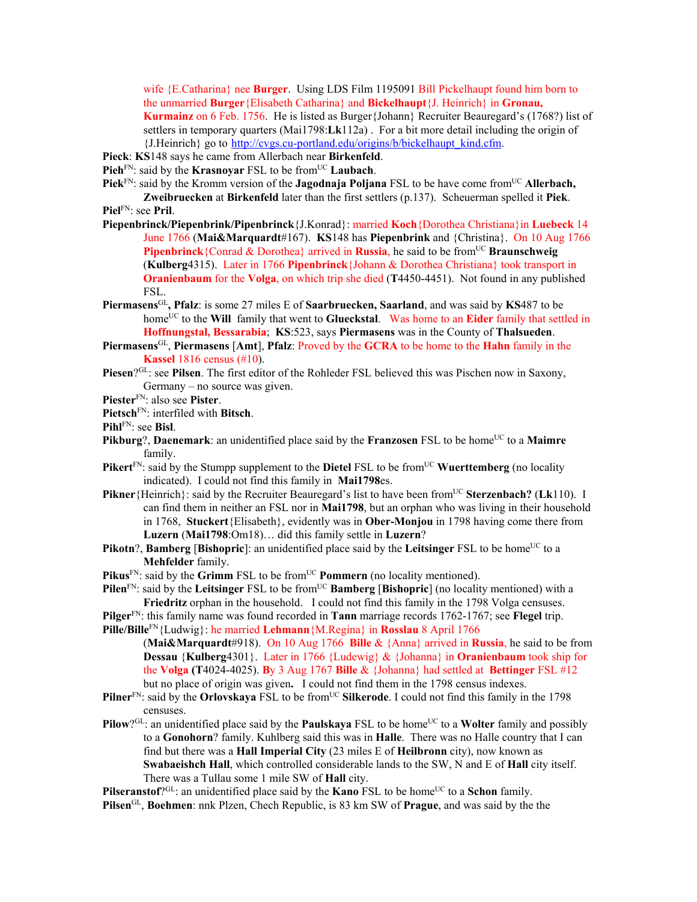wife {E.Catharina} nee **Burger**. Using LDS Film 1195091 Bill Pickelhaupt found him born to the unmarried **Burger**{Elisabeth Catharina} and **Bickelhaupt**{J. Heinrich} in **Gronau, Kurmainz** on 6 Feb. 1756. He is listed as Burger{Johann} Recruiter Beauregard's (1768?) list of settlers in temporary quarters (Mai1798:**Lk**112a) . For a bit more detail including the origin of {J.Heinrich} go to http://cvgs.cu-portland.edu/origins/b/bickelhaupt\_kind.cfm.

- **Pieck**: **KS**148 says he came from Allerbach near **Birkenfeld**.
- **Pieh**<sup>FN</sup>: said by the **Krasnoyar** FSL to be from<sup>UC</sup> **Laubach**.

Piek<sup>FN</sup>: said by the Kromm version of the **Jagodnaja Poljana** FSL to be have come from<sup>UC</sup> Allerbach.

**Zweibruecken** at **Birkenfeld** later than the first settlers (p.137). Scheuerman spelled it **Piek**. **Piel**FN: see **Pril**.

- **Piepenbrinck/Piepenbrink/Pipenbrinck**{J.Konrad}: married **Koch**{Dorothea Christiana}in **Luebeck** 14 June 1766 (**Mai&Marquardt**#167). **KS**148 has **Piepenbrink** and {Christina}. On 10 Aug 1766 **Pipenbrinck**{Conrad & Dorothea} arrived in **Russia**, he said to be from<sup>UC</sup> **Braunschweig** (**Kulberg**4315). Later in 1766 **Pipenbrinck**{Johann & Dorothea Christiana} took transport in **Oranienbaum** for the **Volga**, on which trip she died (**T**4450-4451). Not found in any published FSL.
- **Piermasens**GL**, Pfalz**: is some 27 miles E of **Saarbruecken, Saarland**, and was said by **KS**487 to be home<sup>UC</sup> to the Will family that went to Glueckstal. Was home to an Eider family that settled in **Hoffnungstal, Bessarabia**; **KS**:523, says **Piermasens** was in the County of **Thalsueden**.
- **Piermasens**GL, **Piermasens** [**Amt**], **Pfalz**: Proved by the **GCRA** to be home to the **Hahn** family in the **Kassel** 1816 census (#10).
- Piesen?<sup>GL</sup>: see Pilsen. The first editor of the Rohleder FSL believed this was Pischen now in Saxony, Germany – no source was given.
- **Piester**FN: also see **Pister**.
- **Pietsch**FN: interfiled with **Bitsch**.
- **Pihl**FN: see **Bisl**.
- **Pikburg**?, **Daenemark**: an unidentified place said by the **Franzosen** FSL to be home<sup>UC</sup> to a Maimre family.
- **Pikert**<sup>FN</sup>: said by the Stumpp supplement to the **Dietel** FSL to be from<sup>UC</sup> **Wuerttemberg** (no locality indicated). I could not find this family in **Mai1798**es.
- **Pikner** {Heinrich}: said by the Recruiter Beauregard's list to have been from<sup>UC</sup> Sterzenbach? (Lk110). I can find them in neither an FSL nor in **Mai1798**, but an orphan who was living in their household in 1768, **Stuckert**{Elisabeth}, evidently was in **Ober-Monjou** in 1798 having come there from **Luzern** (**Mai1798**:Om18)… did this family settle in **Luzern**?
- **Pikotn?, Bamberg** [Bishopric]: an unidentified place said by the Leitsinger FSL to be home<sup>UC</sup> to a **Mehfelder** family.
- **Pikus**<sup>FN</sup>: said by the **Grimm** FSL to be from<sup>UC</sup> **Pommern** (no locality mentioned).
- **Pilen**<sup>FN</sup>: said by the Leitsinger FSL to be from<sup>UC</sup> **Bamberg** [Bishopric] (no locality mentioned) with a **Friedritz** orphan in the household. I could not find this family in the 1798 Volga censuses.
- **Pilger**FN: this family name was found recorded in **Tann** marriage records 1762-1767; see **Flegel** trip. **Pille/Bille**FN{Ludwig}: he married **Lehmann**{M.Regina} in **Rosslau** 8 April 1766

(**Mai&Marquardt**#918). On 10 Aug 1766 **Bille** & {Anna} arrived in **Russia**, he said to be from **Dessau** {**Kulberg**4301}. Later in 1766 {Ludewig} & {Johanna} in **Oranienbaum** took ship for the **Volga (T**4024-4025). **B**y 3 Aug 1767 **Bille** & {Johanna} had settled at **Bettinger** FSL #12 but no place of origin was given**.** I could not find them in the 1798 census indexes.

- **Pilner**<sup>FN</sup>: said by the **Orlovskaya** FSL to be from<sup>UC</sup> Silkerode. I could not find this family in the 1798 censuses.
- **Pilow**?GL: an unidentified place said by the **Paulskaya** FSL to be home<sup>UC</sup> to a **Wolter** family and possibly to a **Gonohorn**? family. Kuhlberg said this was in **Halle**. There was no Halle country that I can find but there was a **Hall Imperial City** (23 miles E of **Heilbronn** city), now known as **Swabaeishch Hall**, which controlled considerable lands to the SW, N and E of **Hall** city itself. There was a Tullau some 1 mile SW of **Hall** city.

**Pilseranstof**?<sup>GL</sup>: an unidentified place said by the **Kano** FSL to be home<sup>UC</sup> to a **Schon** family.

**Pilsen**GL, **Boehmen**: nnk Plzen, Chech Republic, is 83 km SW of **Prague**, and was said by the the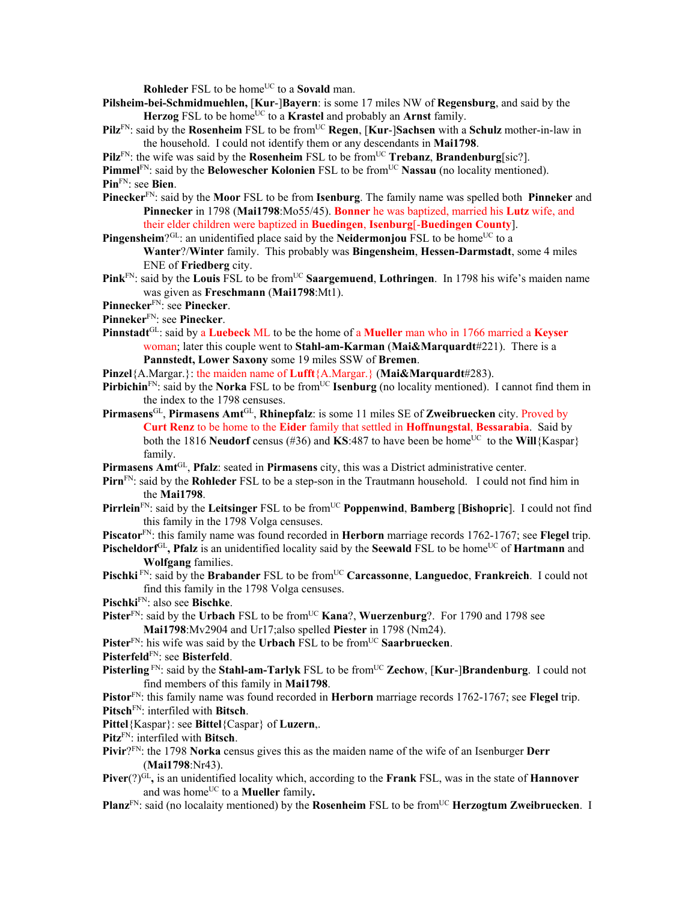**Rohleder** FSL to be home<sup>UC</sup> to a **Sovald** man.

- **Pilsheim-bei-Schmidmuehlen,** [**Kur**-]**Bayern**: is some 17 miles NW of **Regensburg**, and said by the Herzog FSL to be home<sup>UC</sup> to a **Krastel** and probably an **Arnst** family.
- **Pilz**<sup>FN</sup>: said by the **Rosenheim** FSL to be from<sup>UC</sup> **Regen**, [**Kur-**]Sachsen with a Schulz mother-in-law in the household. I could not identify them or any descendants in **Mai1798**.
- **Pilz**<sup>FN</sup>: the wife was said by the **Rosenheim** FSL to be from<sup>UC</sup> **Trebanz**, **Brandenburg**[sic?].

**Pimmel**<sup>FN</sup>: said by the **Belowescher Kolonien** FSL to be from<sup>UC</sup> **Nassau** (no locality mentioned). **Pin**FN: see **Bien**.

**Pinecker**FN: said by the **Moor** FSL to be from **Isenburg**. The family name was spelled both **Pinneker** and **Pinnecker** in 1798 (**Mai1798**:Mo55/45). **Bonner** he was baptized, married his **Lutz** wife, and their elder children were baptized in **Buedingen**, **Isenburg**[-**Buedingen County**].

**Pingensheim**?<sup>GL</sup>: an unidentified place said by the **Neidermonjou** FSL to be home<sup>UC</sup> to a **Wanter**?/**Winter** family. This probably was **Bingensheim**, **Hessen-Darmstadt**, some 4 miles ENE of **Friedberg** city.

- **Pink**<sub>FN:</sub> said by the **Louis** FSL to be from<sup>UC</sup> **Saargemuend**, **Lothringen**. In 1798 his wife's maiden name was given as **Freschmann** (**Mai1798**:Mt1).
- **Pinnecker**FN: see **Pinecker**.

**Pinneker**FN: see **Pinecker**.

- **Pinnstadt**GL: said by a **Luebeck** ML to be the home of a **Mueller** man who in 1766 married a **Keyser** woman; later this couple went to **Stahl-am-Karman** (**Mai&Marquardt**#221). There is a **Pannstedt, Lower Saxony** some 19 miles SSW of **Bremen**.
- **Pinzel**{A.Margar.}: the maiden name of **Lufft**{A.Margar.} (**Mai&Marquardt**#283).

**Pirbichin**<sup>FN</sup>: said by the **Norka** FSL to be from<sup>UC</sup> **Isenburg** (no locality mentioned). I cannot find them in the index to the 1798 censuses.

**Pirmasens**GL, **Pirmasens Amt**GL, **Rhinepfalz**: is some 11 miles SE of **Zweibruecken** city. Proved by **Curt Renz** to be home to the **Eider** family that settled in **Hoffnungstal**, **Bessarabia**. Said by both the 1816 **Neudorf** census (#36) and **KS**:487 to have been be home<sup>UC</sup> to the **Will**{Kaspar} family.

**Pirmasens Amt**GL, **Pfalz**: seated in **Pirmasens** city, this was a District administrative center.

- **Pirn**FN: said by the **Rohleder** FSL to be a step-son in the Trautmann household. I could not find him in the **Mai1798**.
- **Pirrlein**<sup>FN</sup>: said by the **Leitsinger** FSL to be from<sup>UC</sup> **Poppenwind**, **Bamberg** [Bishopric]. I could not find this family in the 1798 Volga censuses.
- **Piscator**FN: this family name was found recorded in **Herborn** marriage records 1762-1767; see **Flegel** trip.
- **Pischeldorf**<sup>GL</sup>, **Pfalz** is an unidentified locality said by the **Seewald** FSL to be home<sup>UC</sup> of **Hartmann** and **Wolfgang** families.
- **Pischki** FN: said by the **Brabander** FSL to be fromUC **Carcassonne**, **Languedoc**, **Frankreich**. I could not find this family in the 1798 Volga censuses.
- **Pischki**FN: also see **Bischke**.
- **Pister**<sup>FN</sup>: said by the **Urbach** FSL to be from<sup>UC</sup> **Kana**?, **Wuerzenburg**?. For 1790 and 1798 see **Mai1798**:Mv2904 and Ur17;also spelled **Piester** in 1798 (Nm24).

**Pister**<sup>FN</sup>: his wife was said by the **Urbach** FSL to be from<sup>UC</sup> Saarbruecken.

- **Pisterfeld**FN: see **Bisterfeld**.
- **Pisterling** FN: said by the **Stahl-am-Tarlyk** FSL to be from<sup>UC</sup> **Zechow**, [**Kur-**]Brandenburg. I could not find members of this family in **Mai1798**.
- **Pistor**FN: this family name was found recorded in **Herborn** marriage records 1762-1767; see **Flegel** trip. **Pitsch**FN: interfiled with **Bitsch**.

**Pittel**{Kaspar}: see **Bittel**{Caspar} of **Luzern**,.

**Pitz**FN: interfiled with **Bitsch**.

- **Pivir**?FN: the 1798 **Norka** census gives this as the maiden name of the wife of an Isenburger **Derr** (**Mai1798**:Nr43).
- **Piver**(?)<sup>GL</sup>, is an unidentified locality which, according to the **Frank** FSL, was in the state of **Hannover** and was home<sup>UC</sup> to a **Mueller** family.

**Planz**<sup>FN</sup>: said (no localaity mentioned) by the **Rosenheim** FSL to be from<sup>UC</sup> **Herzogtum Zweibruecken**. I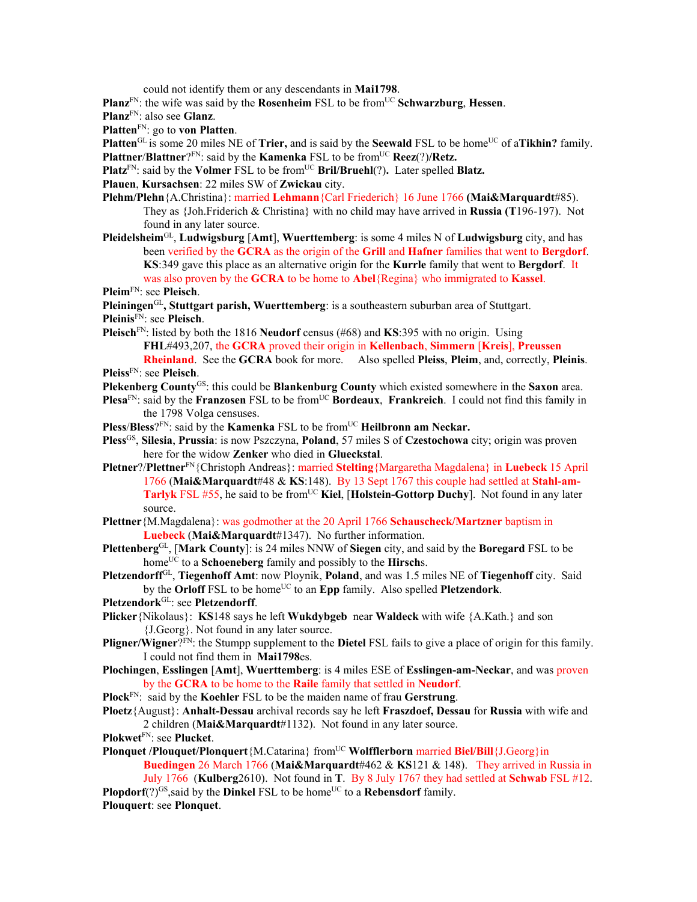could not identify them or any descendants in **Mai1798**.

**Planz**FN: the wife was said by the **Rosenheim** FSL to be fromUC **Schwarzburg**, **Hessen**.

**Planz**FN: also see **Glanz**.

**Platten**FN: go to **von Platten**.

**Platten**<sup>GL</sup> is some 20 miles NE of **Trier**, and is said by the **Seewald** FSL to be home<sup>UC</sup> of a**Tikhin?** family. **Plattner**/**Blattner**?FN: said by the **Kamenka** FSL to be fromUC **Reez**(?)**/Retz.**

**Platz**<sup>FN</sup>: said by the **Volmer** FSL to be from<sup>UC</sup> **Bril/Bruehl**(?). Later spelled **Blatz.** 

**Plauen**, **Kursachsen**: 22 miles SW of **Zwickau** city.

- **Plehm/Plehn**{A.Christina}: married **Lehmann**{Carl Friederich} 16 June 1766 **(Mai&Marquardt**#85). They as {Joh.Friderich & Christina} with no child may have arrived in **Russia (T**196-197). Not found in any later source.
- **Pleidelsheim**GL, **Ludwigsburg** [**Amt**], **Wuerttemberg**: is some 4 miles N of **Ludwigsburg** city, and has been verified by the **GCRA** as the origin of the **Grill** and **Hafner** families that went to **Bergdorf**. **KS**:349 gave this place as an alternative origin for the **Kurrle** family that went to **Bergdorf**. It was also proven by the **GCRA** to be home to **Abel**{Regina} who immigrated to **Kassel**.
- **Pleim**FN: see **Pleisch**.

**Pleiningen**GL**, Stuttgart parish, Wuerttemberg**: is a southeastern suburban area of Stuttgart.

**Pleinis**FN: see **Pleisch**.

- **Pleisch**FN: listed by both the 1816 **Neudorf** census (#68) and **KS**:395 with no origin. Using **FHL**#493,207, the **GCRA** proved their origin in **Kellenbach**, **Simmern** [**Kreis**], **Preussen Rheinland**. See the **GCRA** book for more. Also spelled **Pleiss**, **Pleim**, and, correctly, **Pleinis**. **Pleiss**FN: see **Pleisch**.
- **Plekenberg County**GS: this could be **Blankenburg County** which existed somewhere in the **Saxon** area.
- **Plesa**<sup>FN</sup>: said by the **Franzosen** FSL to be from<sup>UC</sup> **Bordeaux**, **Frankreich**. I could not find this family in the 1798 Volga censuses.

**Pless/Bless**?<sup>FN</sup>: said by the **Kamenka** FSL to be from<sup>UC</sup> **Heilbronn am Neckar.** 

- **Pless**GS, **Silesia**, **Prussia**: is now Pszczyna, **Poland**, 57 miles S of **Czestochowa** city; origin was proven here for the widow **Zenker** who died in **Glueckstal**.
- **Pletner**?/**Plettner**FN{Christoph Andreas}: married **Stelting**{Margaretha Magdalena} in **Luebeck** 15 April 1766 (**Mai&Marquardt**#48 & **KS**:148). By 13 Sept 1767 this couple had settled at **Stahl-am-**Tarlyk FSL #55, he said to be from<sup>UC</sup> Kiel, [Holstein-Gottorp Duchy]. Not found in any later source.
- **Plettner**{M.Magdalena}: was godmother at the 20 April 1766 **Schauscheck/Martzner** baptism in **Luebeck** (**Mai&Marquardt**#1347). No further information.
- **Plettenberg**GL, [**Mark County**]: is 24 miles NNW of **Siegen** city, and said by the **Boregard** FSL to be homeUC to a **Schoeneberg** family and possibly to the **Hirsch**s.
- **Pletzendorff**GL, **Tiegenhoff Amt**: now Ploynik, **Poland**, and was 1.5 miles NE of **Tiegenhoff** city. Said by the **Orloff** FSL to be home<sup>UC</sup> to an **Epp** family. Also spelled **Pletzendork**.
- **Pletzendork**GL: see **Pletzendorff**.
- **Plicker**{Nikolaus}: **KS**148 says he left **Wukdybgeb** near **Waldeck** with wife {A.Kath.} and son {J.Georg}. Not found in any later source.
- **Pligner/Wigner**?FN: the Stumpp supplement to the **Dietel** FSL fails to give a place of origin for this family. I could not find them in **Mai1798**es.
- **Plochingen**, **Esslingen** [**Amt**], **Wuerttemberg**: is 4 miles ESE of **Esslingen-am-Neckar**, and was proven by the **GCRA** to be home to the **Raile** family that settled in **Neudorf**.
- **Plock**FN: said by the **Koehler** FSL to be the maiden name of frau **Gerstrung**.
- **Ploetz**{August}: **Anhalt-Dessau** archival records say he left **Fraszdoef, Dessau** for **Russia** with wife and 2 children (**Mai&Marquardt**#1132). Not found in any later source.
- **Plokwet**FN: see **Plucket**.
- **Plonquet /Plouquet/Plonquert**{M.Catarina} from<sup>UC</sup> **Wolfflerborn** married **Biel/Bill**{J.Georg}in **Buedingen** 26 March 1766 (**Mai&Marquardt**#462 & **KS**121 & 148). They arrived in Russia in

July 1766 (**Kulberg**2610). Not found in **T**. By 8 July 1767 they had settled at **Schwab** FSL #12. **Plopdorf** $(?)^{GS}$ , said by the **Dinkel** FSL to be home<sup>UC</sup> to a **Rebensdorf** family.

**Plouquert**: see **Plonquet**.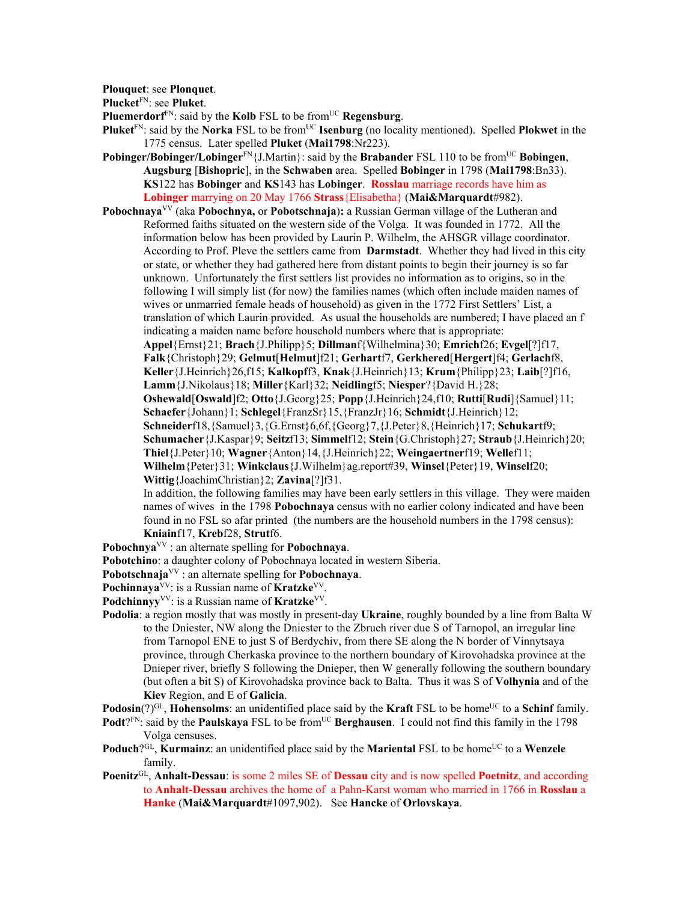**Plouquet**: see **Plonquet**.

**Plucket**FN: see **Pluket**.

**Pluemerdorf**FN: said by the **Kolb** FSL to be fromUC **Regensburg**.

- **Pluket**<sup>FN</sup>: said by the **Norka** FSL to be from<sup>UC</sup> **Isenburg** (no locality mentioned). Spelled **Plokwet** in the 1775 census. Later spelled **Pluket** (**Mai1798**:Nr223).
- **Pobinger/Bobinger/Lobinger**<sup>FN</sup>{J.Martin}: said by the **Brabander** FSL 110 to be from<sup>UC</sup> **Bobingen**, **Augsburg** [**Bishopric**], in the **Schwaben** area. Spelled **Bobinger** in 1798 (**Mai1798**:Bn33). **KS**122 has **Bobinger** and **KS**143 has **Lobinger**. **Rosslau** marriage records have him as **Lobinger** marrying on 20 May 1766 **Strass**{Elisabetha} (**Mai&Marquardt**#982).
- **Pobochnaya**<sup>VV</sup> (aka **Pobochnya,** or **Pobotschnaja**): a Russian German village of the Lutheran and Reformed faiths situated on the western side of the Volga. It was founded in 1772. All the information below has been provided by Laurin P. Wilhelm, the AHSGR village coordinator. According to Prof. Pleve the settlers came from **Darmstadt**. Whether they had lived in this city or state, or whether they had gathered here from distant points to begin their journey is so far unknown. Unfortunately the first settlers list provides no information as to origins, so in the following I will simply list (for now) the families names (which often include maiden names of wives or unmarried female heads of household) as given in the 1772 First Settlers' List, a translation of which Laurin provided. As usual the households are numbered; I have placed an f indicating a maiden name before household numbers where that is appropriate:

**Appel**{Ernst}21; **Brach**{J.Philipp}5; **Dillman**f{Wilhelmina}30; **Emrich**f26; **Evgel**[?]f17, **Falk**{Christoph}29; **Gelmut**[**Helmut**]f21; **Gerhart**f7, **Gerkhered**[**Hergert**]f4; **Gerlach**f8, **Keller**{J.Heinrich}26,f15; **Kalkopf**f3, **Knak**{J.Heinrich}13; **Krum**{Philipp}23; **Laib**[?]f16,

**Lamm**{J.Nikolaus}18; **Miller**{Karl}32; **Neidling**f5; **Niesper**?{David H.}28;

**Oshewald**[**Oswald**]f2; **Otto**{J.Georg}25; **Popp**{J.Heinrich}24,f10; **Rutti**[**Rudi**]{Samuel}11; **Schaefer**{Johann}1; **Schlegel**{FranzSr}15,{FranzJr}16; **Schmidt**{J.Heinrich}12;

**Schneider**f18,{Samuel}3,{G.Ernst}6,6f,{Georg}7,{J.Peter}8,{Heinrich}17; **Schukart**f9; **Schumacher**{J.Kaspar}9; **Seitz**f13; **Simmel**f12; **Stein**{G.Christoph}27; **Straub**{J.Heinrich}20;

**Thiel**{J.Peter}10; **Wagner**{Anton}14,{J.Heinrich}22; **Weingaertner**f19; **Welle**f11;

**Wilhelm**{Peter}31; **Winkclaus**{J.Wilhelm}ag.report#39, **Winsel**{Peter}19, **Winsel**f20;

**Wittig**{JoachimChristian}2; **Zavina**[?]f31.

In addition, the following families may have been early settlers in this village. They were maiden names of wives in the 1798 **Pobochnaya** census with no earlier colony indicated and have been found in no FSL so afar printed (the numbers are the household numbers in the 1798 census): **Kniain**f17, **Kreb**f28, **Strut**f6.

**Pobochnya**VV : an alternate spelling for **Pobochnaya**.

**Pobotchino**: a daughter colony of Pobochnaya located in western Siberia.

**Pobotschnaja**VV : an alternate spelling for **Pobochnaya**.

**Pochinnaya**VV: is a Russian name of **Kratzke**VV.

Podchinnyy<sup>VV</sup>: is a Russian name of **Kratzke**<sup>VV</sup>.

**Podolia**: a region mostly that was mostly in present-day **Ukraine**, roughly bounded by a line from Balta W to the Dniester, NW along the Dniester to the Zbruch river due S of Tarnopol, an irregular line from Tarnopol ENE to just S of Berdychiv, from there SE along the N border of Vinnytsaya province, through Cherkaska province to the northern boundary of Kirovohadska province at the Dnieper river, briefly S following the Dnieper, then W generally following the southern boundary (but often a bit S) of Kirovohadska province back to Balta. Thus it was S of **Volhynia** and of the **Kiev** Region, and E of **Galicia**.

**Podosin**(?)<sup>GL</sup>, **Hohensolms**: an unidentified place said by the **Kraft** FSL to be home<sup>UC</sup> to a **Schinf** family.

- **Podt**?FN: said by the **Paulskaya** FSL to be from<sup>UC</sup> **Berghausen**. I could not find this family in the 1798 Volga censuses.
- **Poduch**?<sup>GL</sup>, **Kurmainz**: an unidentified place said by the **Mariental** FSL to be home<sup>UC</sup> to a **Wenzele** family.
- **Poenitz**GL, **Anhalt-Dessau**: is some 2 miles SE of **Dessau** city and is now spelled **Poetnitz**, and according to **Anhalt-Dessau** archives the home of a Pahn-Karst woman who married in 1766 in **Rosslau** a **Hanke** (**Mai&Marquardt**#1097,902). See **Hancke** of **Orlovskaya**.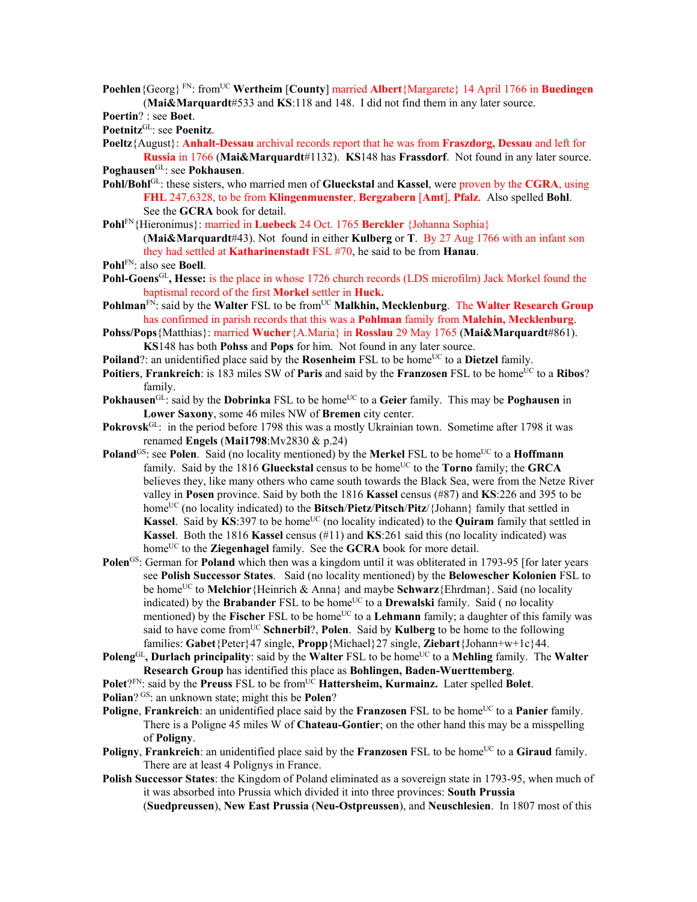**Poehlen**{Georg} FN: fromUC **Wertheim** [**County**] married **Albert**{Margarete} 14 April 1766 in **Buedingen** (**Mai&Marquardt**#533 and **KS**:118 and 148. I did not find them in any later source.

**Poertin**? : see **Boet**.

**Poetnitz**GL: see **Poenitz**.

**Poeltz**{August}: **Anhalt-Dessau** archival records report that he was from **Fraszdorg, Dessau** and left for **Russia** in 1766 (**Mai&Marquardt**#1132). **KS**148 has **Frassdorf**. Not found in any later source. **Poghausen**GL: see **Pokhausen**.

- **Pohl/Bohl**GL: these sisters, who married men of **Glueckstal** and **Kassel**, were proven by the **CGRA**, using **FHL** 247,6328, to be from **Klingenmuenster**, **Bergzabern** [**Amt**], **Pfalz**. Also spelled **Bohl**. See the **GCRA** book for detail.
- **Pohl**FN{Hieronimus}: married in **Luebeck** 24 Oct. 1765 **Berckler** {Johanna Sophia} (**Mai&Marquardt**#43). Not found in either **Kulberg** or **T**. By 27 Aug 1766 with an infant son they had settled at **Katharinenstadt** FSL #70, he said to be from **Hanau**.
- **Pohl**FN: also see **Boell**.
- Pohl-Goens<sup>GL</sup>, Hesse: is the place in whose 1726 church records (LDS microfilm) Jack Morkel found the baptismal record of the first **Morkel** settler in **Huck.**
- Pohlman<sup>FN</sup>: said by the Walter FSL to be from<sup>UC</sup> Malkhin, Mecklenburg. The Walter Research Group has confirmed in parish records that this was a **Pohlman** family from **Malehin, Mecklenburg**.
- **Pohss/Pops**{Matthias}: married **Wucher**{A.Maria} in **Rosslau** 29 May 1765 (**Mai&Marquardt**#861). **KS**148 has both **Pohss** and **Pops** for him. Not found in any later source.
- **Poiland**?: an unidentified place said by the **Rosenheim** FSL to be home<sup>UC</sup> to a **Dietzel** family.
- **Poitiers. Frankreich**: is 183 miles SW of **Paris** and said by the **Franzosen** FSL to be home<sup>UC</sup> to a Ribos? family.
- **Pokhausen**<sup>GL</sup>: said by the **Dobrinka** FSL to be home<sup>UC</sup> to a Geier family. This may be **Poghausen** in **Lower Saxony**, some 46 miles NW of **Bremen** city center.
- **Pokrovsk**<sup>GL</sup>: in the period before 1798 this was a mostly Ukrainian town. Sometime after 1798 it was renamed **Engels** (**Mai1798**:Mv2830 & p.24)
- **Poland**<sup>GS</sup>: see **Polen**. Said (no locality mentioned) by the **Merkel** FSL to be home<sup>UC</sup> to a **Hoffmann** family. Said by the 1816 **Glueckstal** census to be home<sup>UC</sup> to the **Torno** family; the **GRCA** believes they, like many others who came south towards the Black Sea, were from the Netze River valley in **Posen** province. Said by both the 1816 **Kassel** census (#87) and **KS**:226 and 395 to be home<sup>UC</sup> (no locality indicated) to the **Bitsch/Pietz/Pitsch/Pitz**/{Johann} family that settled in **Kassel.** Said by **KS**:397 to be home<sup>UC</sup> (no locality indicated) to the **Quiram** family that settled in **Kassel**. Both the 1816 **Kassel** census (#11) and **KS**:261 said this (no locality indicated) was home<sup>UC</sup> to the **Ziegenhagel** family. See the **GCRA** book for more detail.
- **Polen**GS: German for **Poland** which then was a kingdom until it was obliterated in 1793-95 [for later years see **Polish Successor States**. Said (no locality mentioned) by the **Belowescher Kolonien** FSL to be homeUC to **Melchior**{Heinrich & Anna} and maybe **Schwarz**{Ehrdman}. Said (no locality indicated) by the **Brabander** FSL to be home<sup>UC</sup> to a **Drewalski** family. Said ( no locality mentioned) by the **Fischer** FSL to be home<sup>UC</sup> to a **Lehmann** family; a daughter of this family was said to have come from<sup>UC</sup> Schnerbil?, Polen. Said by **Kulberg** to be home to the following families: **Gabet**{Peter}47 single, **Propp**{Michael}27 single, **Ziebart**{Johann+w+1c}44.
- **Poleng**<sup>GL</sup>, Durlach principality: said by the Walter FSL to be home<sup>UC</sup> to a Mehling family. The Walter **Research Group** has identified this place as **Bohlingen, Baden-Wuerttemberg**.
- **Polet**?FN: said by the **Preuss** FSL to be from<sup>UC</sup> **Hattersheim, Kurmainz.** Later spelled **Bolet**.

**Polian**? GS: an unknown state; might this be **Polen**?

- **Poligne**, **Frankreich**: an unidentified place said by the **Franzosen** FSL to be home<sup>UC</sup> to a **Panier** family. There is a Poligne 45 miles W of **Chateau-Gontier**; on the other hand this may be a misspelling of **Poligny**.
- **Poligny, Frankreich**: an unidentified place said by the **Franzosen** FSL to be home<sup>UC</sup> to a **Giraud** family. There are at least 4 Polignys in France.
- **Polish Successor States**: the Kingdom of Poland eliminated as a sovereign state in 1793-95, when much of it was absorbed into Prussia which divided it into three provinces: **South Prussia**

(**Suedpreussen**), **New East Prussia** (**Neu-Ostpreussen**), and **Neuschlesien**. In 1807 most of this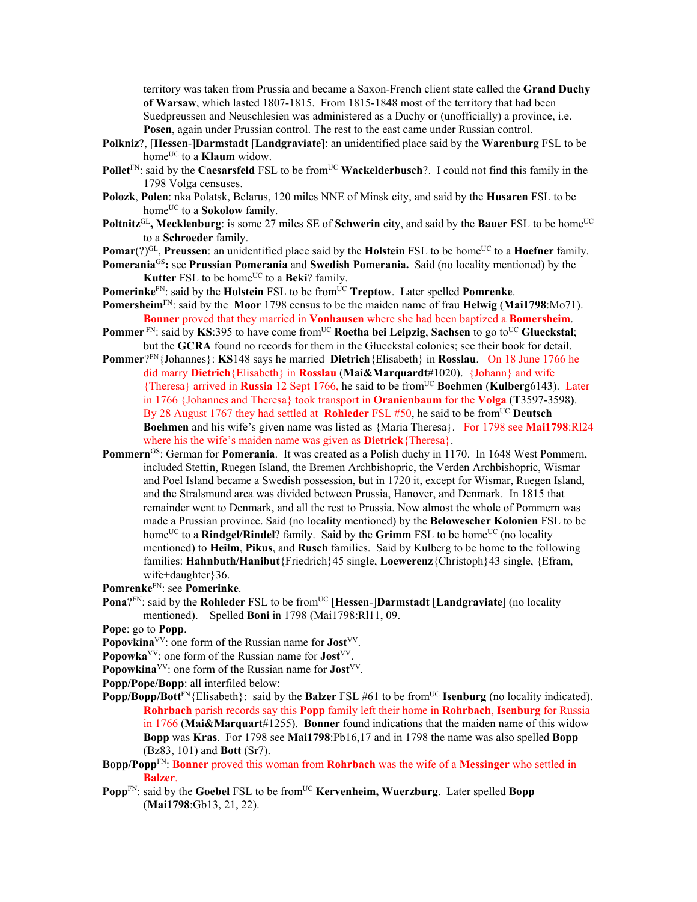territory was taken from Prussia and became a Saxon-French client state called the **Grand Duchy of Warsaw**, which lasted 1807-1815. From 1815-1848 most of the territory that had been Suedpreussen and Neuschlesien was administered as a Duchy or (unofficially) a province, i.e. **Posen**, again under Prussian control. The rest to the east came under Russian control.

- **Polkniz**?, [**Hessen**-]**Darmstadt** [**Landgraviate**]: an unidentified place said by the **Warenburg** FSL to be home<sup>UC</sup> to a **Klaum** widow.
- **Pollet**<sup>FN</sup>: said by the **Caesarsfeld** FSL to be from<sup>UC</sup> **Wackelderbusch**?. I could not find this family in the 1798 Volga censuses.
- **Polozk**, **Polen**: nka Polatsk, Belarus, 120 miles NNE of Minsk city, and said by the **Husaren** FSL to be home<sup>UC</sup> to a **Sokolow** family.
- **Poltnitz**<sup>GL</sup>, Mecklenburg: is some 27 miles SE of **Schwerin** city, and said by the **Bauer** FSL to be home<sup>UC</sup> to a **Schroeder** family.
- **Pomar**(?)<sup>GL</sup>, **Preussen**: an unidentified place said by the **Holstein** FSL to be home<sup>UC</sup> to a **Hoefner** family.
- **Pomerania**GS**:** see **Prussian Pomerania** and **Swedish Pomerania.** Said (no locality mentioned) by the **Kutter** FSL to be home<sup>UC</sup> to a **Beki**? family.
- **Pomerinke**FN: said by the **Holstein** FSL to be from<sup>UC</sup> **Treptow**. Later spelled **Pomrenke**.
- **Pomersheim**FN: said by the **Moor** 1798 census to be the maiden name of frau **Helwig** (**Mai1798**:Mo71). **Bonner** proved that they married in **Vonhausen** where she had been baptized a **Bomersheim**.
- **Pommer** FN: said by **KS**:395 to have come from<sup>UC</sup> **Roetha bei Leipzig**, **Sachsen** to go to<sup>UC</sup> **Glueckstal**; but the **GCRA** found no records for them in the Glueckstal colonies; see their book for detail.
- **Pommer**?FN{Johannes}: **KS**148 says he married **Dietrich**{Elisabeth} in **Rosslau**. On 18 June 1766 he did marry **Dietrich**{Elisabeth} in **Rosslau** (**Mai&Marquardt**#1020). {Johann} and wife {Theresa} arrived in **Russia** 12 Sept 1766, he said to be fromUC **Boehmen** (**Kulberg**6143). Later in 1766 {Johannes and Theresa} took transport in **Oranienbaum** for the **Volga** (**T**3597-3598**)**. By 28 August 1767 they had settled at **Rohleder** FSL #50, he said to be from<sup>UC</sup> Deutsch **Boehmen** and his wife's given name was listed as {Maria Theresa}. For 1798 see **Mai1798**:Rl24 where his the wife's maiden name was given as **Dietrick**{Theresa}.
- **Pommern**<sup>GS</sup>: German for **Pomerania**. It was created as a Polish duchy in 1170. In 1648 West Pommern, included Stettin, Ruegen Island, the Bremen Archbishopric, the Verden Archbishopric, Wismar and Poel Island became a Swedish possession, but in 1720 it, except for Wismar, Ruegen Island, and the Stralsmund area was divided between Prussia, Hanover, and Denmark. In 1815 that remainder went to Denmark, and all the rest to Prussia. Now almost the whole of Pommern was made a Prussian province. Said (no locality mentioned) by the **Belowescher Kolonien** FSL to be home<sup>UC</sup> to a **Rindgel/Rindel**? family. Said by the **Grimm** FSL to be home<sup>UC</sup> (no locality mentioned) to **Heilm**, **Pikus**, and **Rusch** families. Said by Kulberg to be home to the following families: **Hahnbuth/Hanibut**{Friedrich}45 single, **Loewerenz**{Christoph}43 single, {Efram, wife+daughter}36.

**Pomrenke**FN: see **Pomerinke**.

- **Pona**?FN: said by the **Rohleder** FSL to be from<sup>UC</sup> [Hessen-]Darmstadt [Landgraviate] (no locality mentioned).Spelled **Boni** in 1798 (Mai1798:Rl11, 09.
- **Pope**: go to **Popp**.
- **Popovkina**<sup>VV</sup>: one form of the Russian name for **Jost**<sup>VV</sup>.
- Popowka<sup>VV</sup>: one form of the Russian name for **Jost**<sup>VV</sup>.
- **Popowkina**<sup>VV</sup>: one form of the Russian name for **Jost**<sup>VV</sup>.
- **Popp/Pope/Bopp**: all interfiled below:
- **Popp/Bopp/Bott**<sup>FN</sup>{Elisabeth}: said by the **Balzer** FSL #61 to be from<sup>UC</sup> **Isenburg** (no locality indicated). **Rohrbach** parish records say this **Popp** family left their home in **Rohrbach**, **Isenburg** for Russia in 1766 (**Mai&Marquart**#1255). **Bonner** found indications that the maiden name of this widow **Bopp** was **Kras**. For 1798 see **Mai1798**:Pb16,17 and in 1798 the name was also spelled **Bopp** (Bz83, 101) and **Bott** (Sr7).
- **Bopp/Popp**FN: **Bonner** proved this woman from **Rohrbach** was the wife of a **Messinger** who settled in **Balzer**.
- **Popp**<sup>FN</sup>: said by the **Goebel** FSL to be from<sup>UC</sup> **Kervenheim, Wuerzburg**. Later spelled **Bopp** (**Mai1798**:Gb13, 21, 22).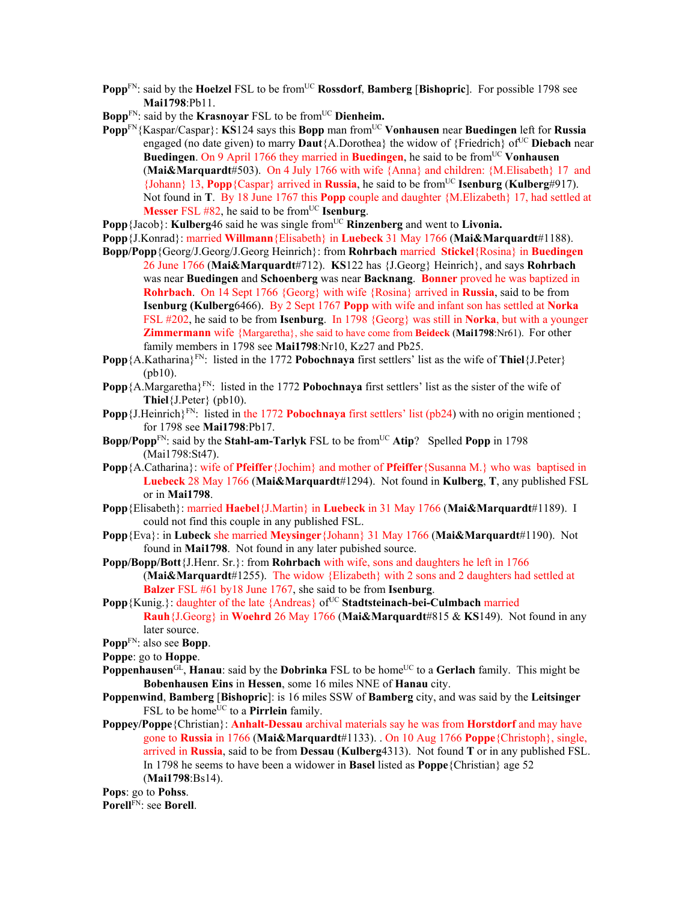- **Popp**<sup>FN</sup>: said by the **Hoelzel** FSL to be from<sup>UC</sup> **Rossdorf**, **Bamberg** [Bishopric]. For possible 1798 see **Mai1798**:Pb11.
- **Bopp**<sup>FN</sup>: said by the **Krasnovar** FSL to be from<sup>UC</sup> Dienheim.
- **Popp**FN{Kaspar/Caspar}: **KS**124 says this **Bopp** man fromUC **Vonhausen** near **Buedingen** left for **Russia** engaged (no date given) to marry **Daut**{A.Dorothea} the widow of {Friedrich} of<sup>UC</sup> **Diebach** near **Buedingen**. On 9 April 1766 they married in **Buedingen**, he said to be from<sup>UC</sup> **Vonhausen** (**Mai&Marquardt**#503). On 4 July 1766 with wife {Anna} and children: {M.Elisabeth} 17 and {Johann} 13, **Popp**{Caspar} arrived in **Russia**, he said to be fromUC **Isenburg** (**Kulberg**#917). Not found in **T**. By 18 June 1767 this **Popp** couple and daughter {M.Elizabeth} 17, had settled at **Messer** FSL  $#82$ , he said to be from<sup>UC</sup> **Isenburg**.
- **Popp**{Jacob}: **Kulberg**46 said he was single from<sup>UC</sup> Rinzenberg and went to Livonia.
- **Popp**{J.Konrad}: married **Willmann**{Elisabeth} in **Luebeck** 31 May 1766 (**Mai&Marquardt**#1188).
- **Bopp/Popp**{Georg/J.Georg/J.Georg Heinrich}: from **Rohrbach** married **Stickel**{Rosina} in **Buedingen**  26 June 1766 (**Mai&Marquardt**#712). **KS**122 has {J.Georg} Heinrich}, and says **Rohrbach**  was near **Buedingen** and **Schoenberg** was near **Backnang**. **Bonner** proved he was baptized in **Rohrbach**. On 14 Sept 1766 {Georg} with wife {Rosina} arrived in **Russia**, said to be from **Isenburg (Kulberg**6466). By 2 Sept 1767 **Popp** with wife and infant son has settled at **Norka**  FSL #202, he said to be from **Isenburg**. In 1798 {Georg} was still in **Norka**, but with a younger **Zimmermann** wife {Margaretha}, she said to have come from **Beideck** (**Mai1798**:Nr61). For other family members in 1798 see **Mai1798**:Nr10, Kz27 and Pb25.
- **Popp**{A.Katharina}FN: listed in the 1772 **Pobochnaya** first settlers' list as the wife of **Thiel**{J.Peter} (pb10).
- **Popp** {A.Margaretha}<sup>FN</sup>: listed in the 1772 **Pobochnaya** first settlers' list as the sister of the wife of **Thiel**{J.Peter} (pb10).
- **Popp** {J.Heinrich}<sup>FN</sup>: listed in the 1772 **Pobochnaya** first settlers' list (pb24) with no origin mentioned ; for 1798 see **Mai1798**:Pb17.
- **Bopp/Popp**<sup>FN</sup>: said by the **Stahl-am-Tarlyk** FSL to be from<sup>UC</sup> Atip? Spelled **Popp** in 1798 (Mai1798:St47).
- **Popp**{A.Catharina}: wife of **Pfeiffer**{Jochim} and mother of **Pfeiffer**{Susanna M.} who was baptised in **Luebeck** 28 May 1766 (**Mai&Marquardt**#1294). Not found in **Kulberg**, **T**, any published FSL or in **Mai1798**.
- **Popp**{Elisabeth}: married **Haebel**{J.Martin} in **Luebeck** in 31 May 1766 (**Mai&Marquardt**#1189). I could not find this couple in any published FSL.
- **Popp**{Eva}: in **Lubeck** she married **Meysinger**{Johann} 31 May 1766 (**Mai&Marquardt**#1190). Not found in **Mai1798**. Not found in any later pubished source.
- **Popp/Bopp/Bott**{J.Henr. Sr.}: from **Rohrbach** with wife, sons and daughters he left in 1766 (**Mai&Marquardt**#1255). The widow {Elizabeth} with 2 sons and 2 daughters had settled at **Balzer** FSL #61 by18 June 1767, she said to be from **Isenburg**.
- Popp {Kunig.}: daughter of the late {Andreas} of<sup>UC</sup> Stadtsteinach-bei-Culmbach married **Rauh**{J.Georg} in **Woehrd** 26 May 1766 (**Mai&Marquardt**#815 & **KS**149). Not found in any later source.
- **Popp**FN: also see **Bopp**.
- **Poppe**: go to **Hoppe**.
- **Poppenhausen**<sup>GL</sup>, **Hanau**: said by the **Dobrinka** FSL to be home<sup>UC</sup> to a **Gerlach** family. This might be **Bobenhausen Eins** in **Hessen**, some 16 miles NNE of **Hanau** city.
- **Poppenwind**, **Bamberg** [**Bishopric**]: is 16 miles SSW of **Bamberg** city, and was said by the **Leitsinger** FSL to be home<sup>UC</sup> to a **Pirrlein** family.
- **Poppey/Poppe**{Christian}: **Anhalt-Dessau** archival materials say he was from **Horstdorf** and may have gone to **Russia** in 1766 (**Mai&Marquardt**#1133). . On 10 Aug 1766 **Poppe**{Christoph}, single, arrived in **Russia**, said to be from **Dessau** (**Kulberg**4313). Not found **T** or in any published FSL. In 1798 he seems to have been a widower in **Basel** listed as **Poppe**{Christian} age 52 (**Mai1798**:Bs14).

**Pops**: go to **Pohss**. **Porell**FN: see **Borell**.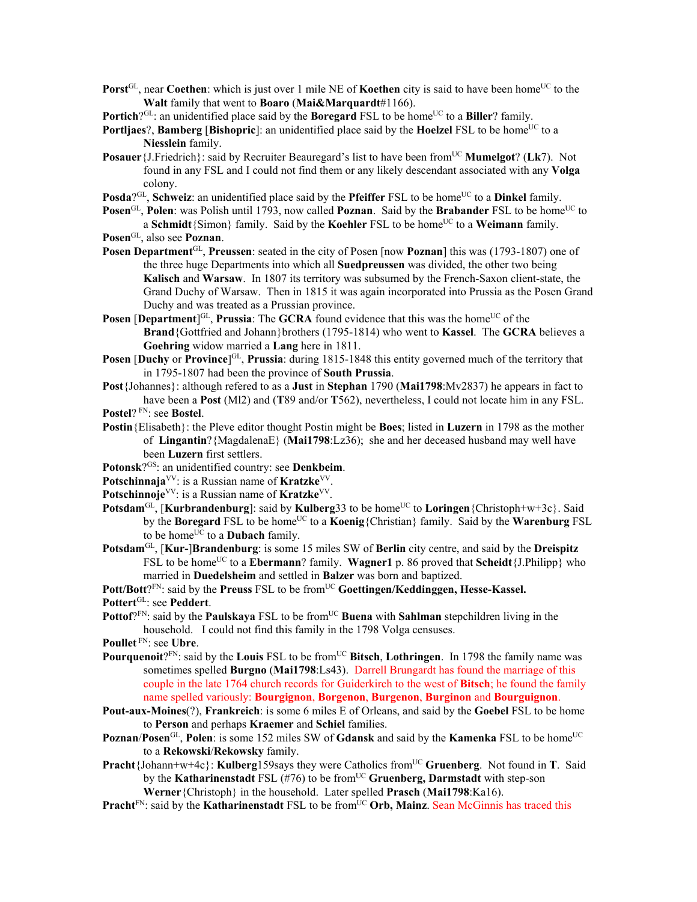**Porst**<sup>GL</sup>, near **Coethen**: which is just over 1 mile NE of **Koethen** city is said to have been home<sup>UC</sup> to the **Walt** family that went to **Boaro** (**Mai&Marquardt**#1166).

**Portich**? $G<sup>CL</sup>$ : an unidentified place said by the **Boregard** FSL to be home<sup>UC</sup> to a **Biller**? family.

**Portliaes**?, **Bamberg** [**Bishopric**]: an unidentified place said by the **Hoelzel** FSL to be home<sup>UC</sup> to a **Niesslein** family.

**Posauer** {J.Friedrich}: said by Recruiter Beauregard's list to have been from<sup>UC</sup> Mumelgot? (Lk7). Not found in any FSL and I could not find them or any likely descendant associated with any **Volga** colony.

**Posda**?<sup>GL</sup>, **Schweiz**: an unidentified place said by the **Pfeiffer** FSL to be home<sup>UC</sup> to a **Dinkel** family.

**Posen**GL, **Polen**: was Polish until 1793, now called **Poznan**. Said by the **Brabander** FSL to be home<sup>UC</sup> to a **Schmidt**{Simon} family. Said by the **Koehler** FSL to be home<sup>UC</sup> to a **Weimann** family.

**Posen**GL, also see **Poznan**.

- **Posen Department**<sup>GL</sup>, **Preussen**: seated in the city of Posen [now **Poznan**] this was (1793-1807) one of the three huge Departments into which all **Suedpreussen** was divided, the other two being **Kalisch** and **Warsaw**. In 1807 its territory was subsumed by the French-Saxon client-state, the Grand Duchy of Warsaw. Then in 1815 it was again incorporated into Prussia as the Posen Grand Duchy and was treated as a Prussian province.
- **Posen** [Department<sup>]GL</sup>, Prussia: The GCRA found evidence that this was the home<sup>UC</sup> of the **Brand**{Gottfried and Johann}brothers (1795-1814) who went to **Kassel**. The **GCRA** believes a **Goehring** widow married a **Lang** here in 1811.
- **Posen** [Duchy or Province]<sup>GL</sup>, Prussia: during 1815-1848 this entity governed much of the territory that in 1795-1807 had been the province of **South Prussia**.
- **Post**{Johannes}: although refered to as a **Just** in **Stephan** 1790 (**Mai1798**:Mv2837) he appears in fact to have been a **Post** (Ml2) and (**T**89 and/or **T**562), nevertheless, I could not locate him in any FSL.

**Postel**? FN: see **Bostel**.

- **Postin**{Elisabeth}: the Pleve editor thought Postin might be **Boes**; listed in **Luzern** in 1798 as the mother of **Lingantin**?{MagdalenaE} (**Mai1798**:Lz36); she and her deceased husband may well have been **Luzern** first settlers.
- **Potonsk**?GS: an unidentified country: see **Denkbeim**.
- **Potschinnaja**VV: is a Russian name of **Kratzke**VV.
- Potschinnoje<sup>VV</sup>: is a Russian name of **Kratzke**<sup>VV</sup>.
- **Potsdam**<sup>GL</sup>, [**Kurbrandenburg**]: said by **Kulberg**33 to be home<sup>UC</sup> to **Loringen**{Christoph+w+3c}. Said by the **Boregard** FSL to be home<sup>UC</sup> to a **Koenig** {Christian} family. Said by the **Warenburg** FSL to be home<sup>UC</sup> to a **Dubach** family.
- **Potsdam**GL, [**Kur-**]**Brandenburg**: is some 15 miles SW of **Berlin** city centre, and said by the **Dreispitz** FSL to be home<sup>UC</sup> to a **Ebermann**? family. **Wagner1** p. 86 proved that **Scheidt**{J.Philipp} who married in **Duedelsheim** and settled in **Balzer** was born and baptized.

Pott/Bott<sup>?FN</sup>: said by the Preuss FSL to be from<sup>UC</sup> Goettingen/Keddinggen, Hesse-Kassel. **Pottert**GL: see **Peddert**.

**Pottof**?<sup>FN</sup>: said by the **Paulskaya** FSL to be from<sup>UC</sup> Buena with Sahlman stepchildren living in the household. I could not find this family in the 1798 Volga censuses.

**Poullet** FN: see **Ubre**.

- **Pourquenoit**?FN: said by the **Louis** FSL to be from<sup>UC</sup> Bitsch, **Lothringen**. In 1798 the family name was sometimes spelled **Burgno** (**Mai1798**:Ls43). Darrell Brungardt has found the marriage of this couple in the late 1764 church records for Guiderkirch to the west of **Bitsch**; he found the family name spelled variously: **Bourgignon**, **Borgenon**, **Burgenon**, **Burginon** and **Bourguignon**.
- **Pout-aux-Moines**(?), **Frankreich**: is some 6 miles E of Orleans, and said by the **Goebel** FSL to be home to **Person** and perhaps **Kraemer** and **Schiel** families.
- **Poznan/Posen**<sup>GL</sup>, **Polen**: is some 152 miles SW of **Gdansk** and said by the **Kamenka** FSL to be home<sup>UC</sup> to a **Rekowski**/**Rekowsky** family.
- **Pracht**{Johann+w+4c}: **Kulberg**159says they were Catholics from<sup>UC</sup> Gruenberg. Not found in **T**. Said by the **Katharinenstadt** FSL (#76) to be fromUC **Gruenberg, Darmstadt** with step-son **Werner**{Christoph} in the household. Later spelled **Prasch** (**Mai1798**:Ka16).
- **Pracht** $F_N$ : said by the **Katharinenstadt** FSL to be from  $\overline{C}$  **Orb, Mainz**. Sean McGinnis has traced this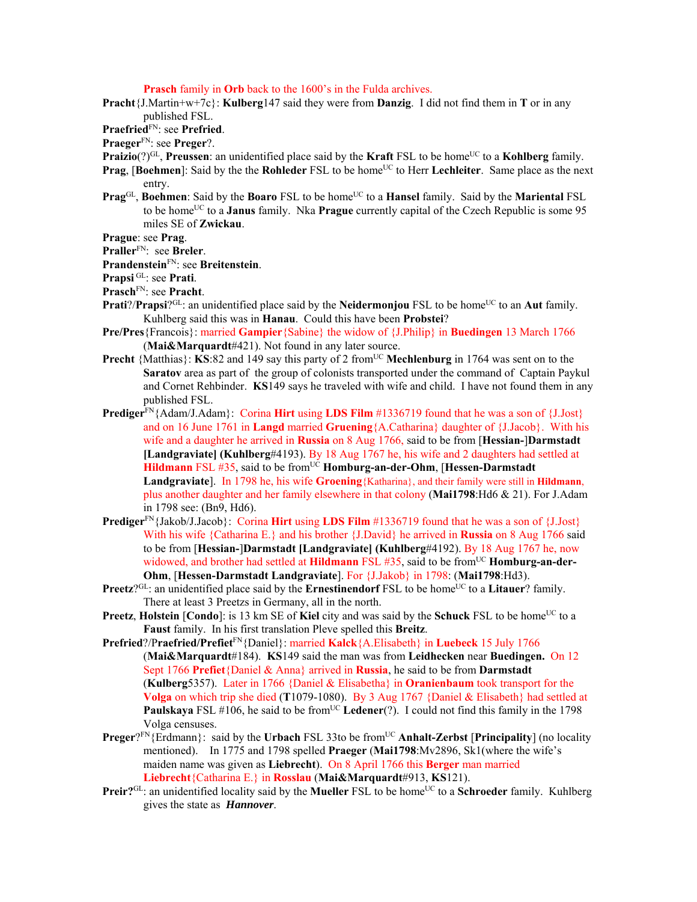**Prasch** family in **Orb** back to the 1600's in the Fulda archives.

**Pracht**{J.Martin+w+7c}: **Kulberg**147 said they were from **Danzig**. I did not find them in **T** or in any published FSL.

**Praefried**FN: see **Prefried**.

**Praeger**FN: see **Preger**?.

- **Praizio**(?)<sup>GL</sup>, **Preussen**: an unidentified place said by the **Kraft** FSL to be home<sup>UC</sup> to a **Kohlberg** family.
- **Prag**, [**Boehmen**]: Said by the the **Rohleder** FSL to be home<sup>UC</sup> to Herr **Lechleiter**. Same place as the next entry.
- **Prag**<sup>GL</sup>, **Boehmen**: Said by the **Boaro** FSL to be home<sup>UC</sup> to a **Hansel** family. Said by the **Mariental** FSL to be home<sup>UC</sup> to a **Janus** family. Nka **Prague** currently capital of the Czech Republic is some 95 miles SE of **Zwickau**.

**Prague**: see **Prag**.

**Praller**FN: see **Breler**.

**Prandenstein**FN: see **Breitenstein**.

**Prapsi** GL: see **Prati**.

**Prasch**FN: see **Pracht**.

- **Prati**?/**Prapsi**?<sup>GL</sup>: an unidentified place said by the **Neidermonjou** FSL to be home<sup>UC</sup> to an **Aut** family. Kuhlberg said this was in **Hanau**. Could this have been **Probstei**?
- **Pre/Pres**{Francois}: married **Gampier**{Sabine} the widow of {J.Philip} in **Buedingen** 13 March 1766 (**Mai&Marquardt**#421). Not found in any later source.
- **Precht** {Matthias}: **KS**:82 and 149 say this party of 2 from<sup>UC</sup> **Mechlenburg** in 1764 was sent on to the **Saratov** area as part of the group of colonists transported under the command of Captain Paykul and Cornet Rehbinder. **KS**149 says he traveled with wife and child. I have not found them in any published FSL.
- **Prediger**FN{Adam/J.Adam}: Corina **Hirt** using **LDS Film** #1336719 found that he was a son of {J.Jost} and on 16 June 1761 in **Langd** married **Gruening**{A.Catharina} daughter of {J.Jacob}. With his wife and a daughter he arrived in **Russia** on 8 Aug 1766, said to be from [**Hessian-**]**Darmstadt [Landgraviate] (Kuhlberg**#4193). By 18 Aug 1767 he, his wife and 2 daughters had settled at **Hildmann** FSL #35, said to be from<sup>UC</sup> **Homburg-an-der-Ohm**, [Hessen-Darmstadt] **Landgraviate**]. In 1798 he, his wife **Groening**{Katharina}, and their family were still in **Hildmann**, plus another daughter and her family elsewhere in that colony (**Mai1798**:Hd6 & 21). For J.Adam in 1798 see: (Bn9, Hd6).
- **Prediger**FN{Jakob/J.Jacob}: Corina **Hirt** using **LDS Film** #1336719 found that he was a son of {J.Jost} With his wife {Catharina E.} and his brother {J.David} he arrived in **Russia** on 8 Aug 1766 said to be from [**Hessian-**]**Darmstadt [Landgraviate] (Kuhlberg**#4192). By 18 Aug 1767 he, now widowed, and brother had settled at **Hildmann** FSL #35, said to be from<sup>UC</sup> **Homburg-an-der-Ohm**, [**Hessen-Darmstadt Landgraviate**]. For {J.Jakob} in 1798: (**Mai1798**:Hd3).
- **Preetz**?<sup>GL</sup>: an unidentified place said by the **Ernestinendorf** FSL to be home<sup>UC</sup> to a **Litauer**? family. There at least 3 Preetzs in Germany, all in the north.
- **Preetz, Holstein** [**Condo**]: is 13 km SE of **Kiel** city and was said by the **Schuck** FSL to be home<sup>UC</sup> to a **Faust** family. In his first translation Pleve spelled this **Breitz**.
- **Prefried**?/P**raefried/Prefiet**FN{Daniel}: married **Kalck**{A.Elisabeth} in **Luebeck** 15 July 1766 (**Mai&Marquardt**#184). **KS**149 said the man was from **Leidhecken** near **Buedingen.** On 12 Sept 1766 **Prefiet**{Daniel & Anna} arrived in **Russia**, he said to be from **Darmstadt**  (**Kulberg**5357). Later in 1766 {Daniel & Elisabetha} in **Oranienbaum** took transport for the **Volga** on which trip she died (**T**1079-1080). By 3 Aug 1767 {Daniel & Elisabeth} had settled at **Paulskaya** FSL #106, he said to be from<sup>UC</sup> Ledener<sup>(?)</sup>. I could not find this family in the 1798 Volga censuses.
- **Preger**?FN{Erdmann}: said by the **Urbach** FSL 33to be from<sup>UC</sup> **Anhalt-Zerbst [Principality**] (no locality mentioned). In 1775 and 1798 spelled **Praeger** (**Mai1798**:Mv2896, Sk1(where the wife's maiden name was given as **Liebrecht**). On 8 April 1766 this **Berger** man married **Liebrecht**{Catharina E.} in **Rosslau** (**Mai&Marquardt**#913, **KS**121).
- **Preir?**GL: an unidentified locality said by the **Mueller** FSL to be home<sup>UC</sup> to a **Schroeder** family. Kuhlberg gives the state as *Hannover*.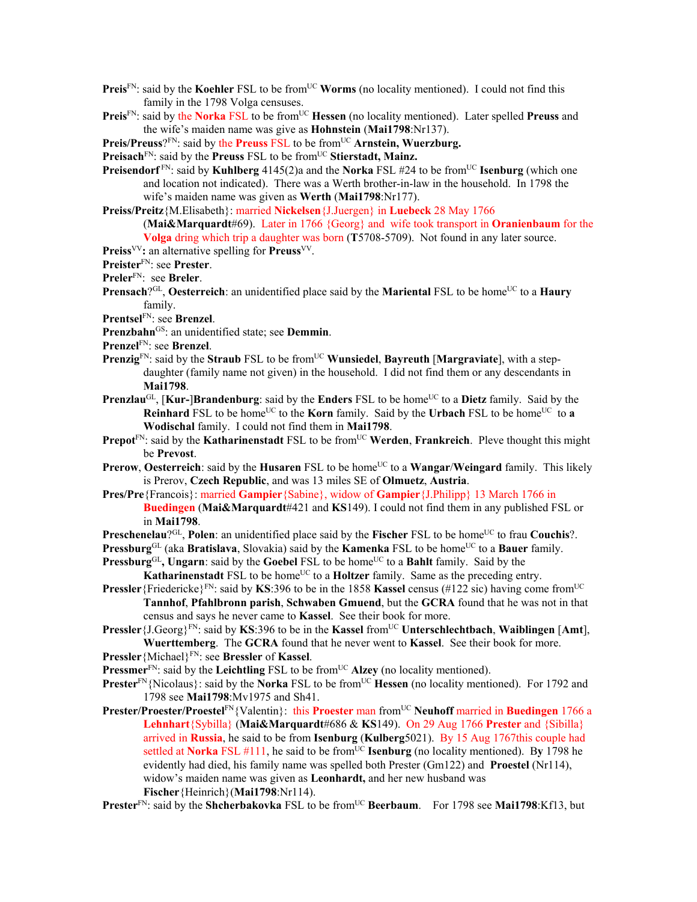- **Preis**<sup>FN</sup>: said by the **Koehler** FSL to be from<sup>UC</sup> **Worms** (no locality mentioned). I could not find this family in the 1798 Volga censuses.
- Preis<sup>FN</sup>: said by the Norka FSL to be from<sup>UC</sup> Hessen (no locality mentioned). Later spelled Preuss and the wife's maiden name was give as **Hohnstein** (**Mai1798**:Nr137).

**Preis/Preuss**?FN: said by the **Preuss** FSL to be from<sup>UC</sup> Arnstein, Wuerzburg.

**Preisach**<sup>FN</sup>: said by the **Preuss** FSL to be from<sup>UC</sup> Stierstadt, Mainz.

- **Preisendorf**<sup>FN</sup>: said by **Kuhlberg** 4145(2)a and the **Norka** FSL #24 to be from<sup>UC</sup> **Isenburg** (which one and location not indicated). There was a Werth brother-in-law in the household. In 1798 the wife's maiden name was given as **Werth** (**Mai1798**:Nr177).
- **Preiss/Preitz**{M.Elisabeth}: married **Nickelsen**{J.Juergen} in **Luebeck** 28 May 1766 (**Mai&Marquardt**#69). Later in 1766 {Georg} and wife took transport in **Oranienbaum** for the **Volga** dring which trip a daughter was born (**T**5708-5709). Not found in any later source.
- **Preiss**VV**:** an alternative spelling for **Preuss**VV.
- **Preister**FN: see **Prester**.
- **Preler**FN: see **Breler**.
- **Prensach**?<sup>GL</sup>, **Oesterreich**: an unidentified place said by the **Mariental** FSL to be home<sup>UC</sup> to a **Haury** family.
- **Prentsel**FN: see **Brenzel**.
- **Prenzbahn**GS: an unidentified state; see **Demmin**.
- **Prenzel**FN: see **Brenzel**.
- **Prenzig**<sup>FN</sup>: said by the **Straub** FSL to be from<sup>UC</sup> **Wunsiedel**, **Bayreuth** [Margraviate], with a stepdaughter (family name not given) in the household. I did not find them or any descendants in **Mai1798**.
- **Prenzlau**<sup>GL</sup>, [Kur-]Brandenburg: said by the Enders FSL to be home<sup>UC</sup> to a Dietz family. Said by the **Reinhard** FSL to be home<sup>UC</sup> to the **Korn** family. Said by the **Urbach** FSL to be home<sup>UC</sup> to a **Wodischal** family. I could not find them in **Mai1798**.
- **Prepot**<sup>FN</sup>: said by the **Katharinenstadt** FSL to be from<sup>UC</sup> Werden, Frankreich. Pleve thought this might be **Prevost**.
- **Prerow, Oesterreich**: said by the **Husaren** FSL to be home<sup>UC</sup> to a **Wangar/Weingard** family. This likely is Prerov, **Czech Republic**, and was 13 miles SE of **Olmuetz**, **Austria**.
- **Pres/Pre**{Francois}: married **Gampier**{Sabine}, widow of **Gampier**{J.Philipp} 13 March 1766 in **Buedingen** (**Mai&Marquardt**#421 and **KS**149). I could not find them in any published FSL or in **Mai1798**.

**Preschenelau**?<sup>GL</sup>, **Polen**: an unidentified place said by the **Fischer** FSL to be home<sup>UC</sup> to frau **Couchis**?.

**Pressburg**<sup>GL</sup> (aka **Bratislava**, Slovakia) said by the **Kamenka** FSL to be home<sup>UC</sup> to a **Bauer** family.

**Pressburg**<sup>GL</sup>, Ungarn: said by the **Goebel** FSL to be home<sup>UC</sup> to a **Bahlt** family. Said by the

**Katharinenstadt** FSL to be home<sup>UC</sup> to a **Holtzer** family. Same as the preceding entry. **Pressler**{Friedericke}<sup>FN</sup>: said by **KS**:396 to be in the 1858 **Kassel** census (#122 sic) having come from<sup>UC</sup>

**Tannhof**, **Pfahlbronn parish**, **Schwaben Gmuend**, but the **GCRA** found that he was not in that census and says he never came to **Kassel**. See their book for more.

- **Pressler**{J.Georg}<sup>FN</sup>: said by **KS**:396 to be in the **Kassel** from<sup>UC</sup> **Unterschlechtbach**, **Waiblingen** [Amt], **Wuerttemberg**. The **GCRA** found that he never went to **Kassel**. See their book for more.
- **Pressler**{Michael}FN: see **Bressler** of **Kassel**.

**Pressmer**<sup>FN</sup>: said by the **Leichtling** FSL to be from<sup>UC</sup> **Alzey** (no locality mentioned).

- **Prester**<sup>FN</sup>{Nicolaus}: said by the **Norka** FSL to be from<sup>UC</sup> **Hessen** (no locality mentioned). For 1792 and 1798 see **Mai1798**:Mv1975 and Sh41.
- **Prester/Proester/Proestel**FN{Valentin}: this **Proester** man from<sup>UC</sup> **Neuhoff** married in **Buedingen** 1766 a **Lehnhart**{Sybilla} (**Mai&Marquardt**#686 & **KS**149). On 29 Aug 1766 **Prester** and {Sibilla} arrived in **Russia**, he said to be from **Isenburg** (**Kulberg**5021). By 15 Aug 1767this couple had settled at **Norka** FSL #111, he said to be from<sup>UC</sup> **Isenburg** (no locality mentioned). By 1798 he evidently had died, his family name was spelled both Prester (Gm122) and **Proestel** (Nr114), widow's maiden name was given as **Leonhardt,** and her new husband was **Fischer**{Heinrich}(**Mai1798**:Nr114).

**Prester**<sup>FN</sup>: said by the **Shcherbakovka** FSL to be from<sup>UC</sup> **Beerbaum**. For 1798 see **Mai1798**:Kf13, but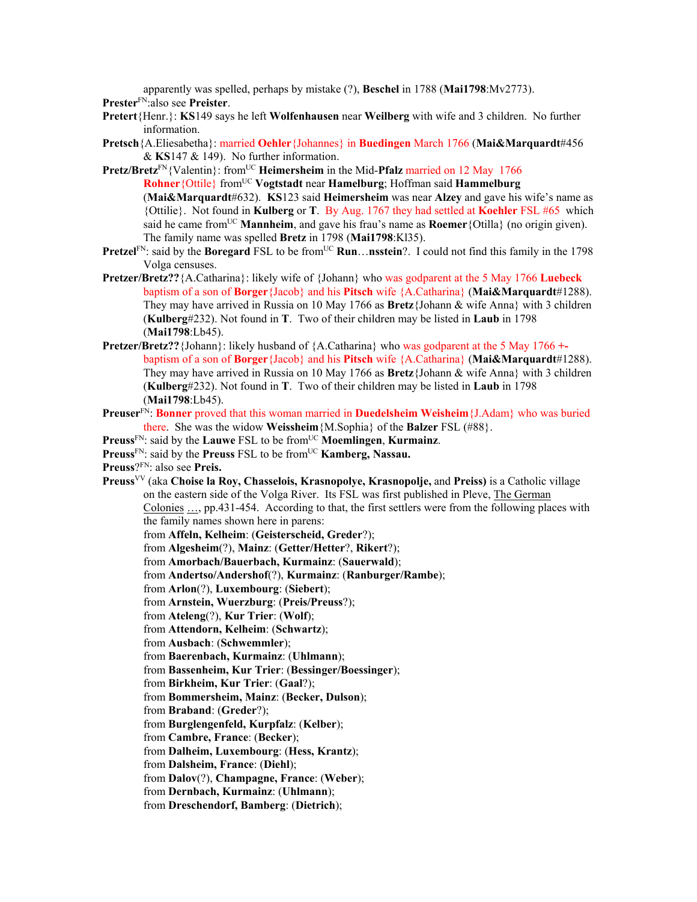apparently was spelled, perhaps by mistake (?), **Beschel** in 1788 (**Mai1798**:Mv2773). **Prester**FN:also see **Preister**.

- **Pretert**{Henr.}: **KS**149 says he left **Wolfenhausen** near **Weilberg** with wife and 3 children. No further information.
- **Pretsch**{A.Eliesabetha}: married **Oehler**{Johannes} in **Buedingen** March 1766 (**Mai&Marquardt**#456 & **KS**147 & 149). No further information.
- **Pretz/Bretz**<sup>FN</sup>{Valentin}: from<sup>UC</sup> **Heimersheim** in the Mid-**Pfalz** married on 12 May 1766 **Rohner**{Ottile} from<sup>UC</sup> **Vogtstadt** near **Hamelburg**; Hoffman said **Hammelburg** (**Mai&Marquardt**#632). **KS**123 said **Heimersheim** was near **Alzey** and gave his wife's name as {Ottilie}. Not found in **Kulberg** or **T**. By Aug. 1767 they had settled at **Koehler** FSL #65 which said he came from<sup>UC</sup> Mannheim, and gave his frau's name as **Roemer** {Otilla} (no origin given). The family name was spelled **Bretz** in 1798 (**Mai1798**:Kl35).
- **Pretzel**FN: said by the **Boregard** FSL to be from<sup>UC</sup> **Run**…**nsstein**?. I could not find this family in the 1798 Volga censuses.
- **Pretzer/Bretz??**{A.Catharina}: likely wife of {Johann} who was godparent at the 5 May 1766 **Luebeck**  baptism of a son of **Borger**{Jacob} and his **Pitsch** wife {A.Catharina} (**Mai&Marquardt**#1288). They may have arrived in Russia on 10 May 1766 as **Bretz**{Johann & wife Anna} with 3 children (**Kulberg**#232). Not found in **T**. Two of their children may be listed in **Laub** in 1798 (**Mai1798**:Lb45).
- **Pretzer/Bretz??**{Johann}: likely husband of {A.Catharina} who was godparent at the 5 May 1766 **+** baptism of a son of **Borger**{Jacob} and his **Pitsch** wife {A.Catharina} (**Mai&Marquardt**#1288). They may have arrived in Russia on 10 May 1766 as **Bretz**{Johann & wife Anna} with 3 children (**Kulberg**#232). Not found in **T**. Two of their children may be listed in **Laub** in 1798 (**Mai1798**:Lb45).
- **Preuser**FN: **Bonner** proved that this woman married in **Duedelsheim Weisheim**{J.Adam} who was buried there. She was the widow **Weissheim**{M.Sophia} of the **Balzer** FSL (#88}.
- **Preuss**FN: said by the **Lauwe** FSL to be fromUC **Moemlingen**, **Kurmainz**.
- **Preuss**<sup>FN</sup>: said by the **Preuss** FSL to be from<sup>UC</sup> **Kamberg, Nassau.**
- **Preuss**?FN: also see **Preis.**
- **Preuss**VV (aka **Choise la Roy, Chasselois, Krasnopolye, Krasnopolje,** and **Preiss)** is a Catholic village on the eastern side of the Volga River. Its FSL was first published in Pleve, The German Colonies …, pp.431-454. According to that, the first settlers were from the following places with the family names shown here in parens: from **Affeln, Kelheim**: (**Geisterscheid, Greder**?); from **Algesheim**(?), **Mainz**: (**Getter/Hetter**?, **Rikert**?);
	- from **Amorbach/Bauerbach, Kurmainz**: (**Sauerwald**);
	- from **Andertso/Andershof**(?), **Kurmainz**: (**Ranburger/Rambe**);
	- from **Arlon**(?), **Luxembourg**: (**Siebert**);
	- from **Arnstein, Wuerzburg**: (**Preis/Preuss**?);
	- from **Ateleng**(?), **Kur Trier**: (**Wolf**);
	- from **Attendorn, Kelheim**: (**Schwartz**);
	- from **Ausbach**: (**Schwemmler**);
	- from **Baerenbach, Kurmainz**: (**Uhlmann**);
	- from **Bassenheim, Kur Trier**: (**Bessinger/Boessinger**);
	- from **Birkheim, Kur Trier**: (**Gaal**?);
	- from **Bommersheim, Mainz**: (**Becker, Dulson**);
	- from **Braband**: (**Greder**?);
	- from **Burglengenfeld, Kurpfalz**: (**Kelber**);
	- from **Cambre, France**: (**Becker**);
	- from **Dalheim, Luxembourg**: (**Hess, Krantz**);
	- from **Dalsheim, France**: (**Diehl**);
	- from **Dalov**(?), **Champagne, France**: (**Weber**);
	- from **Dernbach, Kurmainz**: (**Uhlmann**);
	- from **Dreschendorf, Bamberg**: (**Dietrich**);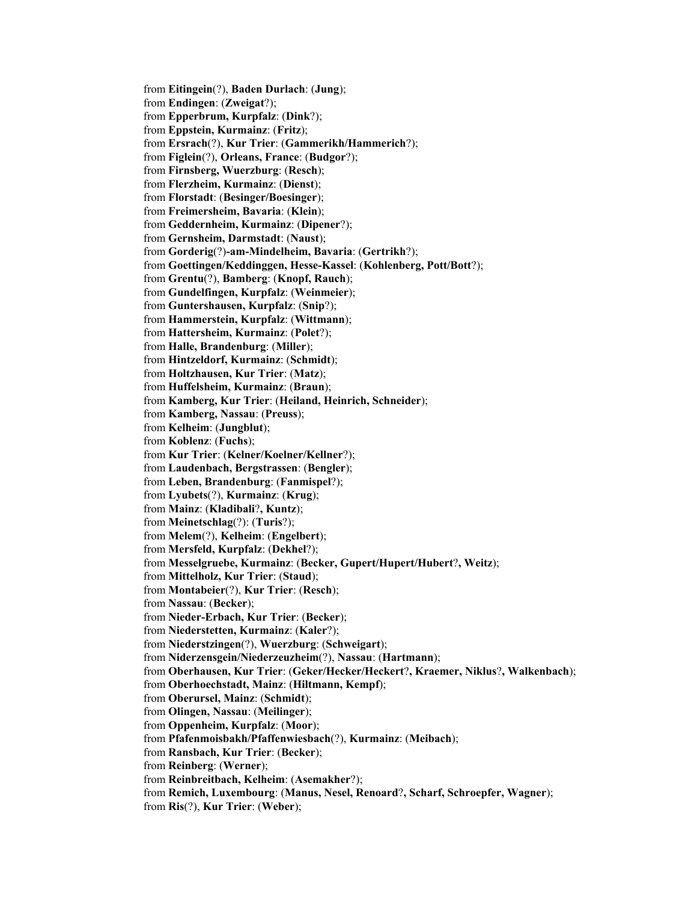from **Eitingein**(?), **Baden Durlach**: (**Jung**); from **Endingen**: (**Zweigat**?); from **Epperbrum, Kurpfalz**: (**Dink**?); from **Eppstein, Kurmainz**: (**Fritz**); from **Ersrach**(?), **Kur Trier**: (**Gammerikh/Hammerich**?); from **Figlein**(?), **Orleans, France**: (**Budgor**?); from **Firnsberg, Wuerzburg**: (**Resch**); from **Flerzheim, Kurmainz**: (**Dienst**); from **Florstadt**: (**Besinger/Boesinger**); from **Freimersheim, Bavaria**: (**Klein**); from **Geddernheim, Kurmainz**: (**Dipener**?); from **Gernsheim, Darmstadt**: (**Naust**); from **Gorderig**(?)**-am-Mindelheim, Bavaria**: (**Gertrikh**?); from **Goettingen/Keddinggen, Hesse-Kassel**: (**Kohlenberg, Pott/Bott**?); from **Grentu**(?), **Bamberg**: (**Knopf, Rauch**); from **Gundelfingen, Kurpfalz**: (**Weinmeier**); from **Guntershausen, Kurpfalz**: (**Snip**?); from **Hammerstein, Kurpfalz**: (**Wittmann**); from **Hattersheim, Kurmainz**: (**Polet**?); from **Halle, Brandenburg**: (**Miller**); from **Hintzeldorf, Kurmainz**: (**Schmidt**); from **Holtzhausen, Kur Trier**: (**Matz**); from **Huffelsheim, Kurmainz**: (**Braun**); from **Kamberg, Kur Trier**: (**Heiland, Heinrich, Schneider**); from **Kamberg, Nassau**: (**Preuss**); from **Kelheim**: (**Jungblut**); from **Koblenz**: (**Fuchs**); from **Kur Trier**: (**Kelner/Koelner/Kellner**?); from **Laudenbach, Bergstrassen**: (**Bengler**); from **Leben, Brandenburg**: (**Fanmispel**?); from **Lyubets**(?), **Kurmainz**: (**Krug**); from **Mainz**: (**Kladibali**?**, Kuntz**); from **Meinetschlag**(?): (**Turis**?); from **Melem**(?), **Kelheim**: (**Engelbert**); from **Mersfeld, Kurpfalz**: (**Dekhel**?); from **Messelgruebe, Kurmainz**: (**Becker, Gupert/Hupert/Hubert**?**, Weitz**); from **Mittelholz, Kur Trier**: (**Staud**); from **Montabeier**(?), **Kur Trier**: (**Resch**); from **Nassau**: (**Becker**); from **Nieder-Erbach, Kur Trier**: (**Becker**); from **Niederstetten, Kurmainz**: (**Kaler**?); from **Niederstzingen**(?), **Wuerzburg**: (**Schweigart**); from **Niderzensgein/Niederzeuzheim**(?), **Nassau**: (**Hartmann**); from **Oberhausen, Kur Trier**: (**Geker/Hecker/Heckert**?**, Kraemer, Niklus**?**, Walkenbach**); from **Oberhoechstadt, Mainz**: (**Hiltmann, Kempf**); from **Oberursel, Mainz**: (**Schmidt**); from **Olingen, Nassau**: (**Meilinger**); from **Oppenheim, Kurpfalz**: (**Moor**); from **Pfafenmoisbakh/Pfaffenwiesbach**(?), **Kurmainz**: (**Meibach**); from **Ransbach, Kur Trier**: (**Becker**); from **Reinberg**: (**Werner**); from **Reinbreitbach, Kelheim**: (**Asemakher**?); from **Remich, Luxembourg**: (**Manus, Nesel, Renoard**?**, Scharf, Schroepfer, Wagner**); from **Ris**(?), **Kur Trier**: (**Weber**);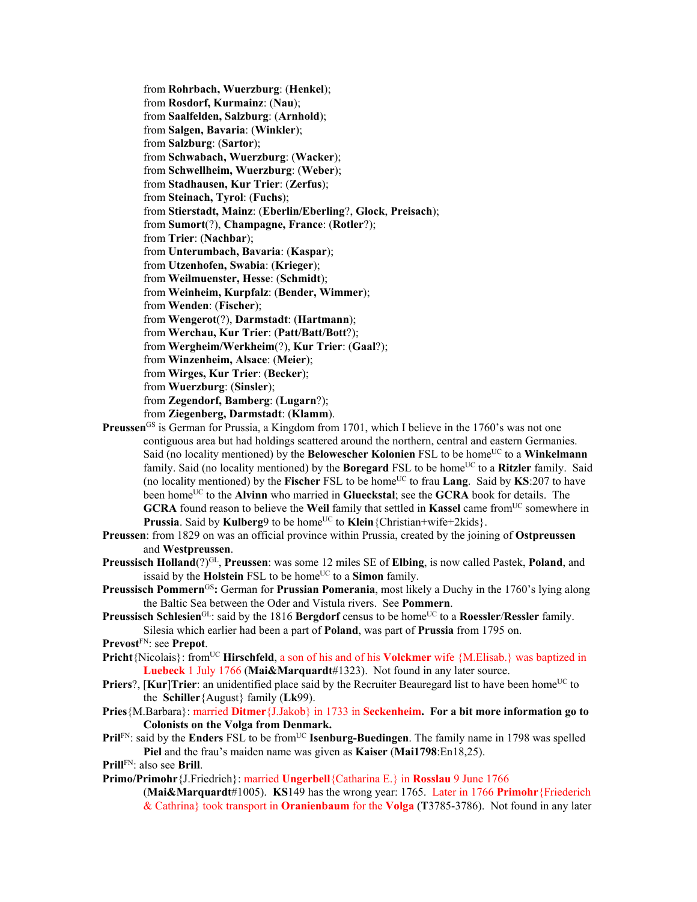from **Rohrbach, Wuerzburg**: (**Henkel**); from **Rosdorf, Kurmainz**: (**Nau**); from **Saalfelden, Salzburg**: (**Arnhold**); from **Salgen, Bavaria**: (**Winkler**); from **Salzburg**: (**Sartor**); from **Schwabach, Wuerzburg**: (**Wacker**); from **Schwellheim, Wuerzburg**: (**Weber**); from **Stadhausen, Kur Trier**: (**Zerfus**); from **Steinach, Tyrol**: (**Fuchs**); from **Stierstadt, Mainz**: (**Eberlin/Eberling**?, **Glock**, **Preisach**); from **Sumort**(?), **Champagne, France**: (**Rotler**?); from **Trier**: (**Nachbar**); from **Unterumbach, Bavaria**: (**Kaspar**); from **Utzenhofen, Swabia**: (**Krieger**); from **Weilmuenster, Hesse**: (**Schmidt**); from **Weinheim, Kurpfalz**: (**Bender, Wimmer**); from **Wenden**: (**Fischer**); from **Wengerot**(?), **Darmstadt**: (**Hartmann**); from **Werchau, Kur Trier**: (**Patt/Batt/Bott**?); from **Wergheim/Werkheim**(?), **Kur Trier**: (**Gaal**?); from **Winzenheim, Alsace**: (**Meier**); from **Wirges, Kur Trier**: (**Becker**); from **Wuerzburg**: (**Sinsler**); from **Zegendorf, Bamberg**: (**Lugarn**?); from **Ziegenberg, Darmstadt**: (**Klamm**). **Preussen**<sup>GS</sup> is German for Prussia, a Kingdom from 1701, which I believe in the 1760's was not one

- contiguous area but had holdings scattered around the northern, central and eastern Germanies. Said (no locality mentioned) by the **Belowescher Kolonien** FSL to be home<sup>UC</sup> to a **Winkelmann** family. Said (no locality mentioned) by the **Boregard** FSL to be home<sup>UC</sup> to a **Ritzler** family. Said (no locality mentioned) by the **Fischer** FSL to be home<sup>UC</sup> to frau **Lang**. Said by **KS**:207 to have been home<sup>UC</sup> to the **Alvinn** who married in **Glueckstal**; see the **GCRA** book for details. The **GCRA** found reason to believe the **Weil** family that settled in **Kassel** came fromUC somewhere in **Prussia**. Said by **Kulberg**9 to be home<sup>UC</sup> to **Klein**{Christian+wife+2kids}.
- **Preussen**: from 1829 on was an official province within Prussia, created by the joining of **Ostpreussen** and **Westpreussen**.
- **Preussisch Holland**(?)GL, **Preussen**: was some 12 miles SE of **Elbing**, is now called Pastek, **Poland**, and issaid by the **Holstein** FSL to be home<sup>UC</sup> to a **Simon** family.
- **Preussisch Pommern<sup>GS</sup>:** German for **Prussian Pomerania**, most likely a Duchy in the 1760's lying along the Baltic Sea between the Oder and Vistula rivers. See **Pommern**.
- **Preussisch Schlesien**<sup>GL</sup>: said by the 1816 **Bergdorf** census to be home<sup>UC</sup> to a **Roessler/Ressler** family. Silesia which earlier had been a part of **Poland**, was part of **Prussia** from 1795 on.

**Prevost**FN: see **Prepot**.

- **Pricht**{Nicolais}: from<sup>UC</sup> **Hirschfeld**, a son of his and of his **Volckmer** wife {M.Elisab.} was baptized in **Luebeck** 1 July 1766 (**Mai&Marquardt**#1323). Not found in any later source.
- **Priers**?, [Kur]Trier: an unidentified place said by the Recruiter Beauregard list to have been home<sup>UC</sup> to the **Schiller**{August} family (**Lk**99).
- **Pries**{M.Barbara}: married **Ditmer**{J.Jakob} in 1733 in **Seckenheim. For a bit more information go to Colonists on the Volga from Denmark.**
- **PrilFN:** said by the **Enders** FSL to be from<sup>UC</sup> **Isenburg-Buedingen**. The family name in 1798 was spelled **Piel** and the frau's maiden name was given as **Kaiser** (**Mai1798**:En18,25).

**Prill**FN: also see **Brill**.

**Primo/Primohr**{J.Friedrich}: married **Ungerbell**{Catharina E.} in **Rosslau** 9 June 1766

<sup>(</sup>**Mai&Marquardt**#1005). **KS**149 has the wrong year: 1765. Later in 1766 **Primohr**{Friederich & Cathrina} took transport in **Oranienbaum** for the **Volga** (**T**3785-3786). Not found in any later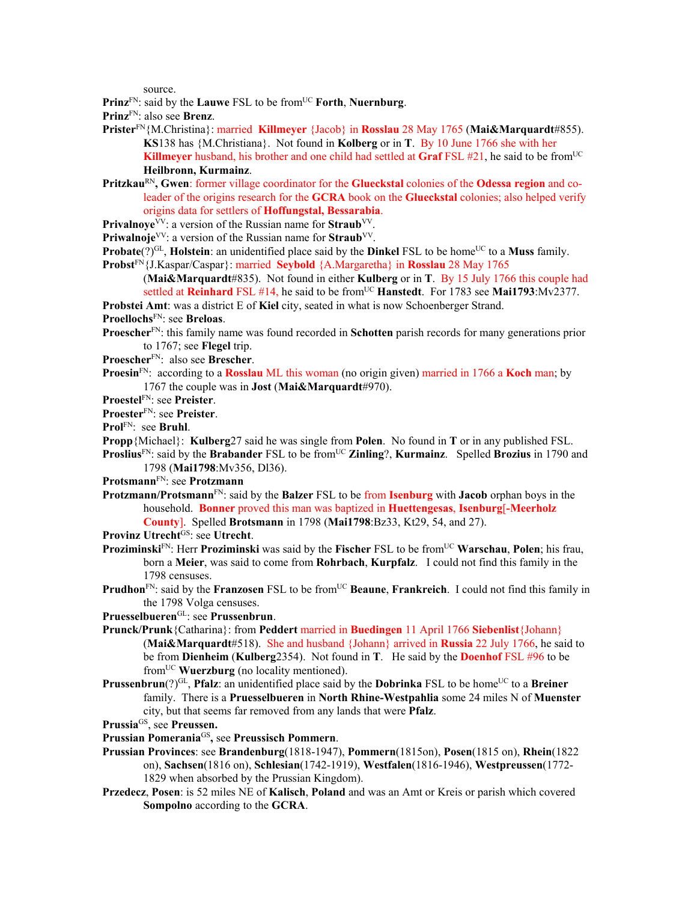source.

**Prinz**FN: said by the **Lauwe** FSL to be fromUC **Forth**, **Nuernburg**.

**Prinz**FN: also see **Brenz**.

- **Prister**FN{M.Christina}: married **Killmeyer** {Jacob} in **Rosslau** 28 May 1765 (**Mai&Marquardt**#855). **KS**138 has {M.Christiana}. Not found in **Kolberg** or in **T**. By 10 June 1766 she with her **Killmeyer** husband, his brother and one child had settled at Graf FSL #21, he said to be from<sup>UC</sup> **Heilbronn, Kurmainz**.
- **Pritzkau<sup>RN</sup>, Gwen**: former village coordinator for the **Glueckstal** colonies of the **Odessa region** and coleader of the origins research for the **GCRA** book on the **Glueckstal** colonies; also helped verify origins data for settlers of **Hoffungstal, Bessarabia**.
- **Privalnoye**<sup>VV</sup>: a version of the Russian name for **Straub**<sup>VV</sup>.
- **Priwalnoje**<sup>VV</sup>: a version of the Russian name for **Straub**<sup>VV</sup>.
- **Probate** $(?)$ <sup>GL</sup>, **Holstein**: an unidentified place said by the **Dinkel** FSL to be home<sup>UC</sup> to a **Muss** family. **Probst**FN{J.Kaspar/Caspar}: married **Seybold** {A.Margaretha} in **Rosslau** 28 May 1765
	- (**Mai&Marquardt**#835). Not found in either **Kulberg** or in **T**. By 15 July 1766 this couple had settled at **Reinhard** FSL #14, he said to be from<sup>UC</sup> **Hanstedt**. For 1783 see **Mai1793**:Mv2377.

**Probstei Amt**: was a district E of **Kiel** city, seated in what is now Schoenberger Strand.

- **Proellochs**FN: see **Breloas**.
- **Proescher**FN: this family name was found recorded in **Schotten** parish records for many generations prior to 1767; see **Flegel** trip.
- **Proescher**FN: also see **Brescher**.
- **Proesin**FN: according to a **Rosslau** ML this woman (no origin given) married in 1766 a **Koch** man; by 1767 the couple was in **Jost** (**Mai&Marquardt**#970).
- **Proestel**FN: see **Preister**.
- **Proester**FN: see **Preister**.
- **Prol**FN: see **Bruhl**.
- **Propp**{Michael}: **Kulberg**27 said he was single from **Polen**. No found in **T** or in any published FSL.
- **Proslius**<sup>FN</sup>: said by the **Brabander** FSL to be from<sup>UC</sup> **Zinling**?, **Kurmainz**. Spelled **Brozius** in 1790 and 1798 (**Mai1798**:Mv356, Dl36).
- **Protsmann**FN: see **Protzmann**
- **Protzmann/Protsmann**FN: said by the **Balzer** FSL to be from **Isenburg** with **Jacob** orphan boys in the household. **Bonner** proved this man was baptized in **Huettengesas**, **Isenburg**[**-Meerholz County**]. Spelled **Brotsmann** in 1798 (**Mai1798**:Bz33, Kt29, 54, and 27).
- **Provinz Utrecht**GS: see **Utrecht**.
- **Proziminski**FN: Herr **Proziminski** was said by the **Fischer** FSL to be fromUC **Warschau**, **Polen**; his frau, born a **Meier**, was said to come from **Rohrbach**, **Kurpfalz**. I could not find this family in the 1798 censuses.
- **Prudhon**<sup>FN</sup>: said by the **Franzosen** FSL to be from<sup>UC</sup> **Beaune**, **Frankreich**. I could not find this family in the 1798 Volga censuses.
- **Pruesselbueren**GL: see **Prussenbrun**.
- **Prunck/Prunk**{Catharina}: from **Peddert** married in **Buedingen** 11 April 1766 **Siebenlist**{Johann} (**Mai&Marquardt**#518). She and husband {Johann} arrived in **Russia** 22 July 1766, he said to be from **Dienheim** (**Kulberg**2354). Not found in **T**. He said by the **Doenhof** FSL #96 to be fromUC **Wuerzburg** (no locality mentioned).
- **Prussenbrun**(?)<sup>GL</sup>, **Pfalz**: an unidentified place said by the **Dobrinka** FSL to be home<sup>UC</sup> to a **Breiner** family. There is a **Pruesselbueren** in **North Rhine-Westpahlia** some 24 miles N of **Muenster** city, but that seems far removed from any lands that were **Pfalz**.
- **Prussia**GS, see **Preussen.**
- **Prussian Pomerania**GS**,** see **Preussisch Pommern**.
- **Prussian Provinces**: see **Brandenburg**(1818-1947), **Pommern**(1815on), **Posen**(1815 on), **Rhein**(1822 on), **Sachsen**(1816 on), **Schlesian**(1742-1919), **Westfalen**(1816-1946), **Westpreussen**(1772- 1829 when absorbed by the Prussian Kingdom).
- **Przedecz**, **Posen**: is 52 miles NE of **Kalisch**, **Poland** and was an Amt or Kreis or parish which covered **Sompolno** according to the **GCRA**.